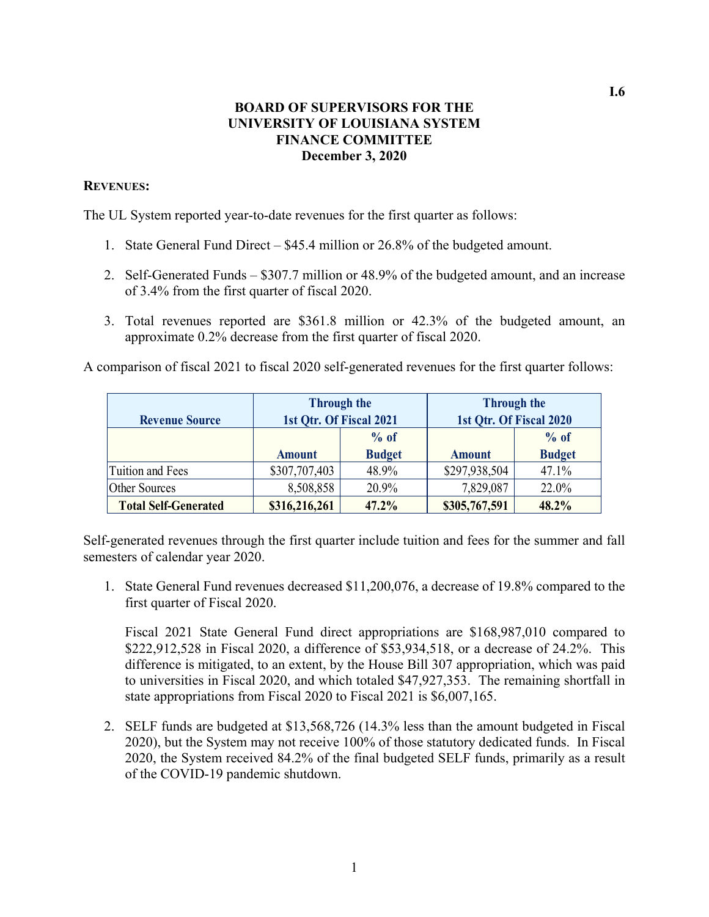#### **BOARD OF SUPERVISORS FOR THE UNIVERSITY OF LOUISIANA SYSTEM FINANCE COMMITTEE December 3, 2020**

#### **REVENUES:**

The UL System reported year-to-date revenues for the first quarter as follows:

- 1. State General Fund Direct \$45.4 million or 26.8% of the budgeted amount.
- 2. Self-Generated Funds \$307.7 million or 48.9% of the budgeted amount, and an increase of 3.4% from the first quarter of fiscal 2020.
- 3. Total revenues reported are \$361.8 million or 42.3% of the budgeted amount, an approximate 0.2% decrease from the first quarter of fiscal 2020.

A comparison of fiscal 2021 to fiscal 2020 self-generated revenues for the first quarter follows:

|                             |                         | <b>Through the</b> | <b>Through the</b>      |               |  |
|-----------------------------|-------------------------|--------------------|-------------------------|---------------|--|
| <b>Revenue Source</b>       | 1st Qtr. Of Fiscal 2021 |                    | 1st Qtr. Of Fiscal 2020 |               |  |
|                             |                         | $%$ of             |                         | $%$ of        |  |
|                             | <b>Amount</b>           | <b>Budget</b>      | <b>Amount</b>           | <b>Budget</b> |  |
| Tuition and Fees            | \$307,707,403           | 48.9%              | \$297,938,504           | 47.1%         |  |
| <b>Other Sources</b>        | 8,508,858               | 20.9%              | 7,829,087               | 22.0%         |  |
| <b>Total Self-Generated</b> | \$316,216,261           | 47.2%              | \$305,767,591           | 48.2%         |  |

Self-generated revenues through the first quarter include tuition and fees for the summer and fall semesters of calendar year 2020.

1. State General Fund revenues decreased \$11,200,076, a decrease of 19.8% compared to the first quarter of Fiscal 2020.

Fiscal 2021 State General Fund direct appropriations are \$168,987,010 compared to \$222,912,528 in Fiscal 2020, a difference of \$53,934,518, or a decrease of 24.2%. This difference is mitigated, to an extent, by the House Bill 307 appropriation, which was paid to universities in Fiscal 2020, and which totaled \$47,927,353. The remaining shortfall in state appropriations from Fiscal 2020 to Fiscal 2021 is \$6,007,165.

2. SELF funds are budgeted at \$13,568,726 (14.3% less than the amount budgeted in Fiscal 2020), but the System may not receive 100% of those statutory dedicated funds. In Fiscal 2020, the System received 84.2% of the final budgeted SELF funds, primarily as a result of the COVID-19 pandemic shutdown.

**I.6**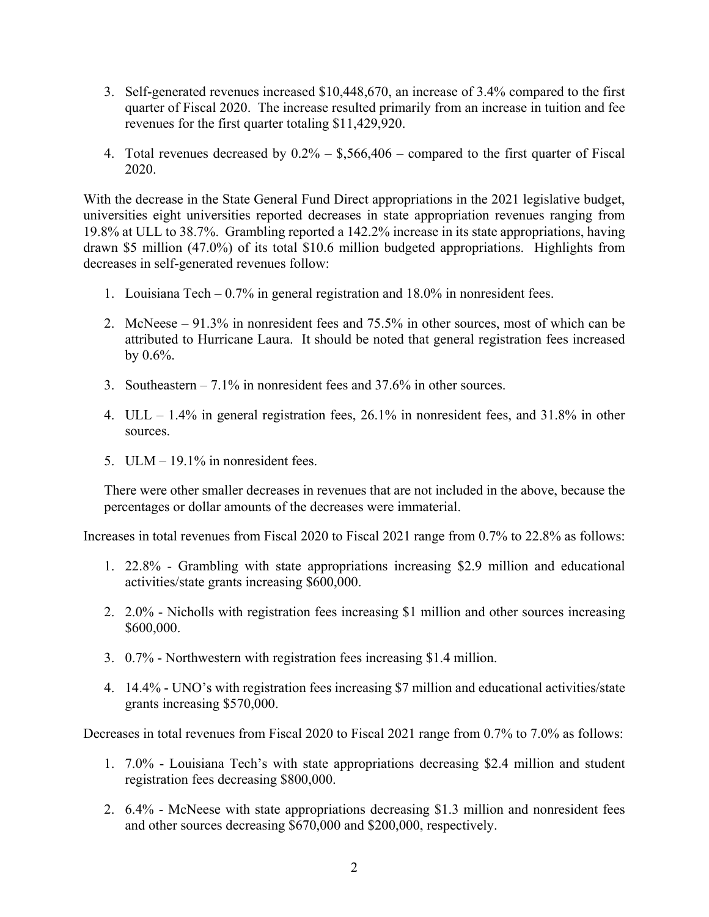- 3. Self-generated revenues increased \$10,448,670, an increase of 3.4% compared to the first quarter of Fiscal 2020. The increase resulted primarily from an increase in tuition and fee revenues for the first quarter totaling \$11,429,920.
- 4. Total revenues decreased by  $0.2\% -$  \$,566,406 compared to the first quarter of Fiscal 2020.

With the decrease in the State General Fund Direct appropriations in the 2021 legislative budget, universities eight universities reported decreases in state appropriation revenues ranging from 19.8% at ULL to 38.7%. Grambling reported a 142.2% increase in its state appropriations, having drawn \$5 million (47.0%) of its total \$10.6 million budgeted appropriations. Highlights from decreases in self-generated revenues follow:

- 1. Louisiana Tech 0.7% in general registration and 18.0% in nonresident fees.
- 2. McNeese 91.3% in nonresident fees and 75.5% in other sources, most of which can be attributed to Hurricane Laura. It should be noted that general registration fees increased by  $0.6\%$ .
- 3. Southeastern 7.1% in nonresident fees and 37.6% in other sources.
- 4. ULL 1.4% in general registration fees, 26.1% in nonresident fees, and 31.8% in other sources.
- 5. ULM 19.1% in nonresident fees.

There were other smaller decreases in revenues that are not included in the above, because the percentages or dollar amounts of the decreases were immaterial.

Increases in total revenues from Fiscal 2020 to Fiscal 2021 range from 0.7% to 22.8% as follows:

- 1. 22.8% Grambling with state appropriations increasing \$2.9 million and educational activities/state grants increasing \$600,000.
- 2. 2.0% Nicholls with registration fees increasing \$1 million and other sources increasing \$600,000.
- 3. 0.7% Northwestern with registration fees increasing \$1.4 million.
- 4. 14.4% UNO's with registration fees increasing \$7 million and educational activities/state grants increasing \$570,000.

Decreases in total revenues from Fiscal 2020 to Fiscal 2021 range from 0.7% to 7.0% as follows:

- 1. 7.0% Louisiana Tech's with state appropriations decreasing \$2.4 million and student registration fees decreasing \$800,000.
- 2. 6.4% McNeese with state appropriations decreasing \$1.3 million and nonresident fees and other sources decreasing \$670,000 and \$200,000, respectively.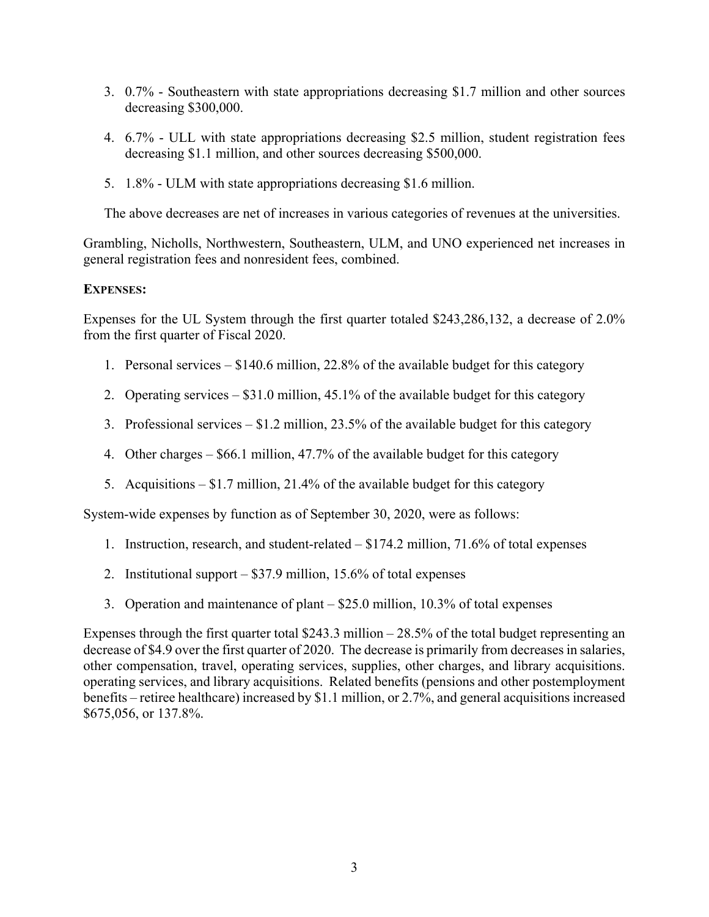- 3. 0.7% Southeastern with state appropriations decreasing \$1.7 million and other sources decreasing \$300,000.
- 4. 6.7% ULL with state appropriations decreasing \$2.5 million, student registration fees decreasing \$1.1 million, and other sources decreasing \$500,000.
- 5. 1.8% ULM with state appropriations decreasing \$1.6 million.

The above decreases are net of increases in various categories of revenues at the universities.

Grambling, Nicholls, Northwestern, Southeastern, ULM, and UNO experienced net increases in general registration fees and nonresident fees, combined.

#### **EXPENSES:**

Expenses for the UL System through the first quarter totaled \$243,286,132, a decrease of 2.0% from the first quarter of Fiscal 2020.

- 1. Personal services \$140.6 million, 22.8% of the available budget for this category
- 2. Operating services \$31.0 million, 45.1% of the available budget for this category
- 3. Professional services \$1.2 million, 23.5% of the available budget for this category
- 4. Other charges \$66.1 million, 47.7% of the available budget for this category
- 5. Acquisitions  $-$  \$1.7 million, 21.4% of the available budget for this category

System-wide expenses by function as of September 30, 2020, were as follows:

- 1. Instruction, research, and student-related \$174.2 million, 71.6% of total expenses
- 2. Institutional support \$37.9 million, 15.6% of total expenses
- 3. Operation and maintenance of plant \$25.0 million, 10.3% of total expenses

Expenses through the first quarter total \$243.3 million – 28.5% of the total budget representing an decrease of \$4.9 over the first quarter of 2020. The decrease is primarily from decreases in salaries, other compensation, travel, operating services, supplies, other charges, and library acquisitions. operating services, and library acquisitions. Related benefits (pensions and other postemployment benefits – retiree healthcare) increased by \$1.1 million, or 2.7%, and general acquisitions increased \$675,056, or 137.8%.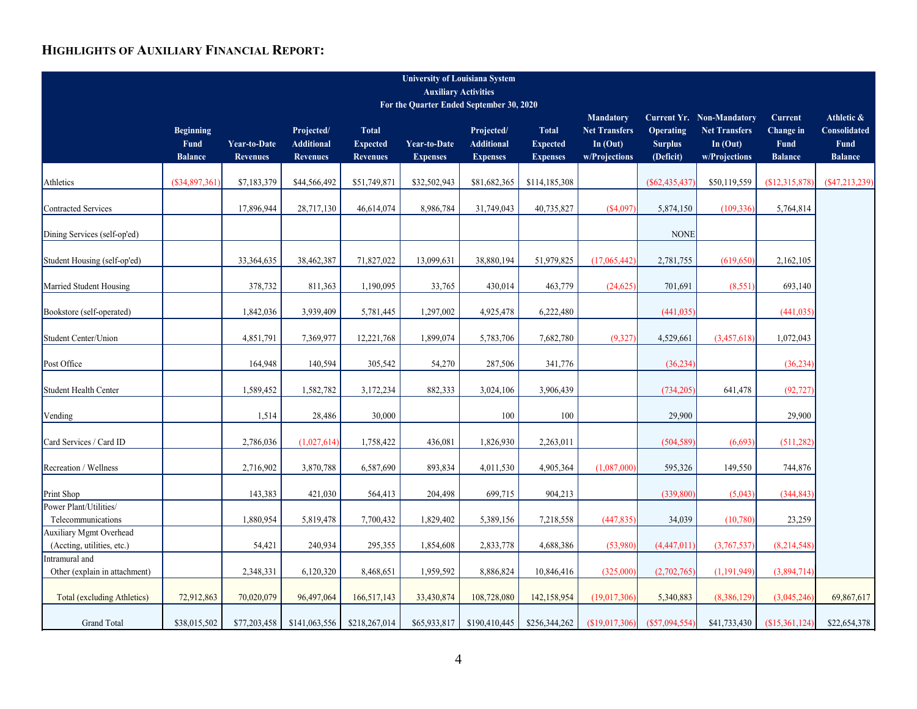#### **HIGHLIGHTS OF AUXILIARY FINANCIAL REPORT:**

| <b>University of Louisiana System</b>                                   |                  |                 |                   |                 |                     |                   |                 |                      |                 |                                  |                 |                 |
|-------------------------------------------------------------------------|------------------|-----------------|-------------------|-----------------|---------------------|-------------------|-----------------|----------------------|-----------------|----------------------------------|-----------------|-----------------|
| <b>Auxiliary Activities</b><br>For the Quarter Ended September 30, 2020 |                  |                 |                   |                 |                     |                   |                 |                      |                 |                                  |                 |                 |
|                                                                         |                  |                 |                   |                 |                     |                   |                 | <b>Mandatory</b>     |                 | <b>Current Yr. Non-Mandatory</b> | Current         | Athletic &      |
|                                                                         | <b>Beginning</b> |                 | Projected/        | <b>Total</b>    |                     | Projected/        | <b>Total</b>    | <b>Net Transfers</b> | Operating       | <b>Net Transfers</b>             | Change in       | Consolidated    |
|                                                                         | <b>Fund</b>      | Year-to-Date    | <b>Additional</b> | <b>Expected</b> | <b>Year-to-Date</b> | <b>Additional</b> | <b>Expected</b> | In $(Out)$           | <b>Surplus</b>  | In $(Out)$                       | Fund            | Fund            |
|                                                                         | <b>Balance</b>   | <b>Revenues</b> | <b>Revenues</b>   | <b>Revenues</b> | <b>Expenses</b>     | <b>Expenses</b>   | <b>Expenses</b> | w/Projections        | (Deficit)       | w/Projections                    | <b>Balance</b>  | <b>Balance</b>  |
|                                                                         |                  |                 |                   |                 |                     |                   |                 |                      |                 |                                  |                 |                 |
| Athletics                                                               | (S34, 897, 361)  | \$7,183,379     | \$44,566,492      | \$51,749,871    | \$32,502,943        | \$81,682,365      | \$114,185,308   |                      | $(\$62,435,437$ | \$50,119,559                     | (S12, 315, 878) | (S47, 213, 239) |
| <b>Contracted Services</b>                                              |                  | 17,896,944      | 28,717,130        | 46,614,074      | 8,986,784           | 31,749,043        | 40,735,827      | $(*4.097$            | 5,874,150       | (109, 336)                       | 5,764,814       |                 |
| Dining Services (self-op'ed)                                            |                  |                 |                   |                 |                     |                   |                 |                      | <b>NONE</b>     |                                  |                 |                 |
| Student Housing (self-op'ed)                                            |                  | 33, 364, 635    | 38,462,387        | 71,827,022      | 13,099,631          | 38,880,194        | 51,979,825      | (17,065,442)         | 2,781,755       | (619, 650)                       | 2,162,105       |                 |
|                                                                         |                  |                 |                   |                 |                     |                   |                 |                      |                 |                                  |                 |                 |
| Married Student Housing                                                 |                  | 378,732         | 811,363           | 1,190,095       | 33,765              | 430,014           | 463,779         | (24, 625)            | 701,691         | (8,551)                          | 693,140         |                 |
| Bookstore (self-operated)                                               |                  | 1,842,036       | 3,939,409         | 5,781,445       | 1,297,002           | 4,925,478         | 6,222,480       |                      | (441, 035)      |                                  | (441, 035)      |                 |
| Student Center/Union                                                    |                  | 4,851,791       | 7,369,977         | 12,221,768      | 1,899,074           | 5,783,706         | 7,682,780       | (9, 327)             | 4,529,661       | (3,457,618)                      | 1,072,043       |                 |
|                                                                         |                  |                 |                   |                 |                     |                   |                 |                      |                 |                                  |                 |                 |
| Post Office                                                             |                  | 164,948         | 140,594           | 305,542         | 54,270              | 287,506           | 341,776         |                      | (36, 234)       |                                  | (36, 234)       |                 |
| Student Health Center                                                   |                  | 1,589,452       | 1,582,782         | 3,172,234       | 882,333             | 3,024,106         | 3,906,439       |                      | (734, 205)      | 641,478                          | (92, 727)       |                 |
| Vending                                                                 |                  | 1,514           | 28,486            | 30,000          |                     | 100               | 100             |                      | 29,900          |                                  | 29,900          |                 |
| Card Services / Card ID                                                 |                  | 2,786,036       | (1,027,614)       | 1,758,422       | 436,081             | 1,826,930         | 2,263,011       |                      | (504, 589)      | (6,693)                          | (511, 282)      |                 |
| Recreation / Wellness                                                   |                  | 2,716,902       | 3,870,788         | 6,587,690       | 893,834             | 4,011,530         | 4,905,364       | (1,087,000)          | 595,326         | 149,550                          | 744,876         |                 |
| Print Shop                                                              |                  | 143,383         | 421,030           | 564,413         | 204,498             | 699,715           | 904,213         |                      | (339, 800)      | (5,043)                          | (344, 843)      |                 |
| Power Plant/Utilities/                                                  |                  |                 |                   |                 |                     |                   |                 |                      |                 |                                  |                 |                 |
| Telecommunications                                                      |                  | 1,880,954       | 5,819,478         | 7,700,432       | 1,829,402           | 5,389,156         | 7,218,558       | (447, 835)           | 34,039          | (10,780)                         | 23,259          |                 |
| Auxiliary Mgmt Overhead                                                 |                  |                 |                   |                 |                     |                   |                 |                      |                 |                                  |                 |                 |
| (Accting, utilities, etc.)                                              |                  | 54,421          | 240,934           | 295,355         | 1,854,608           | 2,833,778         | 4,688,386       | (53,980)             | (4,447,011)     | (3,767,537)                      | (8,214,548)     |                 |
| Intramural and<br>Other (explain in attachment)                         |                  | 2,348,331       | 6,120,320         | 8,468,651       | 1,959,592           | 8,886,824         | 10,846,416      | (325,000)            | (2,702,765)     | (1,191,949)                      | (3,894,714)     |                 |
|                                                                         |                  |                 |                   |                 |                     |                   |                 |                      |                 |                                  |                 |                 |
| <b>Total (excluding Athletics)</b>                                      | 72,912,863       | 70,020,079      | 96,497,064        | 166,517,143     | 33,430,874          | 108,728,080       | 142,158,954     | (19,017,306)         | 5,340,883       | (8,386,129)                      | (3,045,246)     | 69,867,617      |
| <b>Grand Total</b>                                                      | \$38,015,502     | \$77,203,458    | \$141,063,556     | \$218,267,014   | \$65,933,817        | \$190,410,445     | \$256,344,262   | (\$19,017,306)       | (S57,094,554)   | \$41,733,430                     | (S15,361,124)   | \$22,654,378    |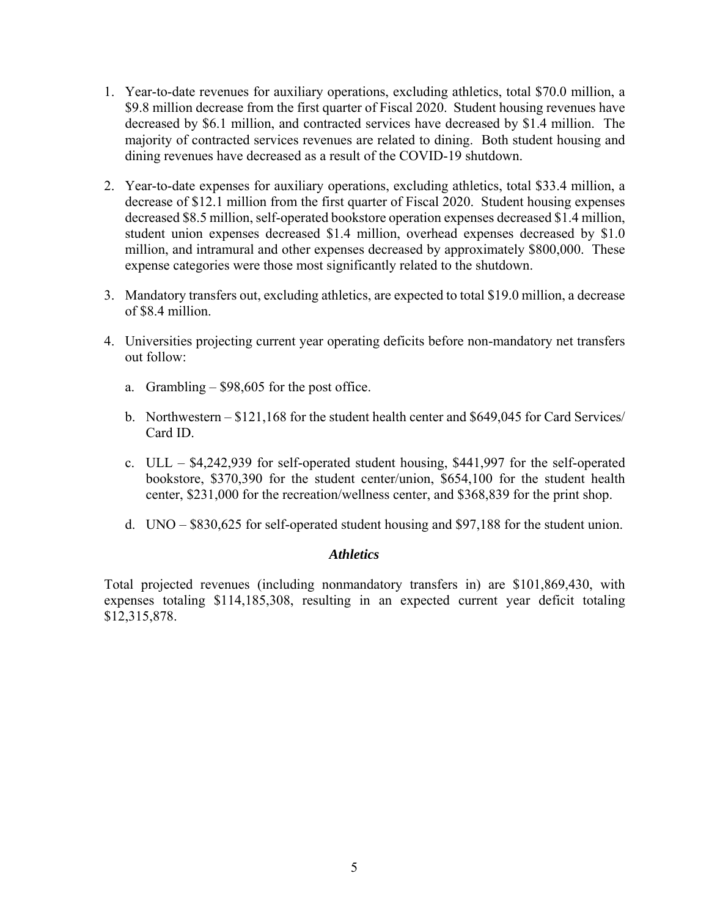- 1. Year-to-date revenues for auxiliary operations, excluding athletics, total \$70.0 million, a \$9.8 million decrease from the first quarter of Fiscal 2020. Student housing revenues have decreased by \$6.1 million, and contracted services have decreased by \$1.4 million. The majority of contracted services revenues are related to dining. Both student housing and dining revenues have decreased as a result of the COVID-19 shutdown.
- 2. Year-to-date expenses for auxiliary operations, excluding athletics, total \$33.4 million, a decrease of \$12.1 million from the first quarter of Fiscal 2020. Student housing expenses decreased \$8.5 million, self-operated bookstore operation expenses decreased \$1.4 million, student union expenses decreased \$1.4 million, overhead expenses decreased by \$1.0 million, and intramural and other expenses decreased by approximately \$800,000. These expense categories were those most significantly related to the shutdown.
- 3. Mandatory transfers out, excluding athletics, are expected to total \$19.0 million, a decrease of \$8.4 million.
- 4. Universities projecting current year operating deficits before non-mandatory net transfers out follow:
	- a. Grambling \$98,605 for the post office.
	- b. Northwestern \$121,168 for the student health center and \$649,045 for Card Services/ Card ID.
	- c. ULL \$4,242,939 for self-operated student housing, \$441,997 for the self-operated bookstore, \$370,390 for the student center/union, \$654,100 for the student health center, \$231,000 for the recreation/wellness center, and \$368,839 for the print shop.
	- d. UNO \$830,625 for self-operated student housing and \$97,188 for the student union.

#### *Athletics*

Total projected revenues (including nonmandatory transfers in) are \$101,869,430, with expenses totaling \$114,185,308, resulting in an expected current year deficit totaling \$12,315,878.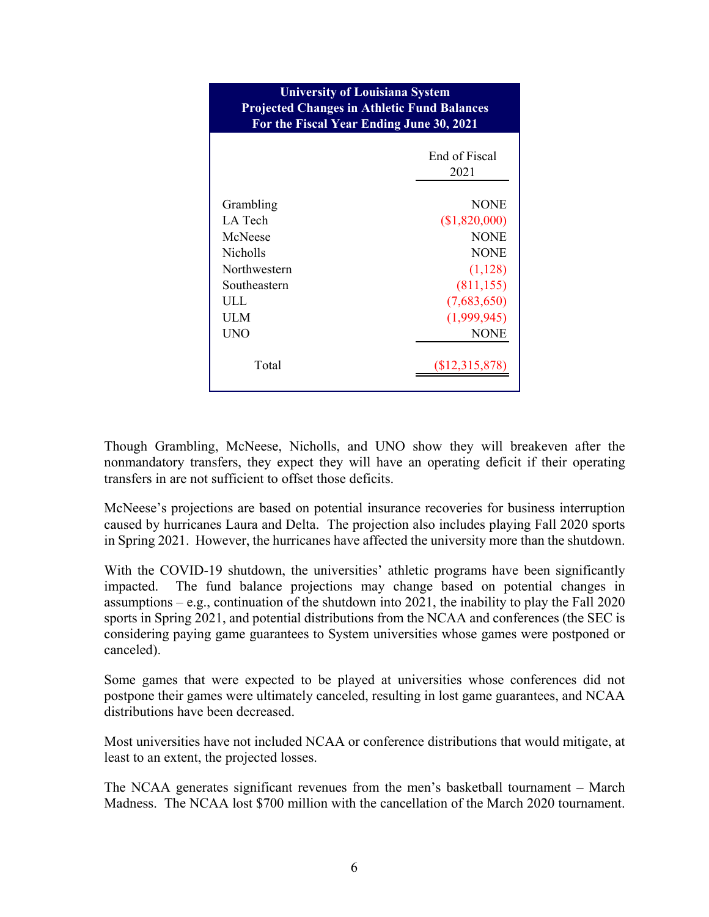| <b>University of Louisiana System</b><br><b>Projected Changes in Athletic Fund Balances</b><br>For the Fiscal Year Ending June 30, 2021 |                       |  |  |  |
|-----------------------------------------------------------------------------------------------------------------------------------------|-----------------------|--|--|--|
|                                                                                                                                         | End of Fiscal<br>2021 |  |  |  |
| Grambling                                                                                                                               | <b>NONE</b>           |  |  |  |
| LA Tech                                                                                                                                 | (\$1,820,000)         |  |  |  |
| McNeese                                                                                                                                 | <b>NONE</b>           |  |  |  |
| <b>Nicholls</b>                                                                                                                         | <b>NONE</b>           |  |  |  |
| Northwestern                                                                                                                            | (1,128)               |  |  |  |
| Southeastern                                                                                                                            | (811, 155)            |  |  |  |
| ULL.                                                                                                                                    | (7,683,650)           |  |  |  |
| UL M                                                                                                                                    | (1,999,945)           |  |  |  |
| UNO                                                                                                                                     | <b>NONE</b>           |  |  |  |
| Total                                                                                                                                   | $(\$12,315,878)$      |  |  |  |

Though Grambling, McNeese, Nicholls, and UNO show they will breakeven after the nonmandatory transfers, they expect they will have an operating deficit if their operating transfers in are not sufficient to offset those deficits.

McNeese's projections are based on potential insurance recoveries for business interruption caused by hurricanes Laura and Delta. The projection also includes playing Fall 2020 sports in Spring 2021. However, the hurricanes have affected the university more than the shutdown.

With the COVID-19 shutdown, the universities' athletic programs have been significantly impacted. The fund balance projections may change based on potential changes in assumptions – e.g., continuation of the shutdown into 2021, the inability to play the Fall 2020 sports in Spring 2021, and potential distributions from the NCAA and conferences (the SEC is considering paying game guarantees to System universities whose games were postponed or canceled).

Some games that were expected to be played at universities whose conferences did not postpone their games were ultimately canceled, resulting in lost game guarantees, and NCAA distributions have been decreased.

Most universities have not included NCAA or conference distributions that would mitigate, at least to an extent, the projected losses.

The NCAA generates significant revenues from the men's basketball tournament – March Madness. The NCAA lost \$700 million with the cancellation of the March 2020 tournament.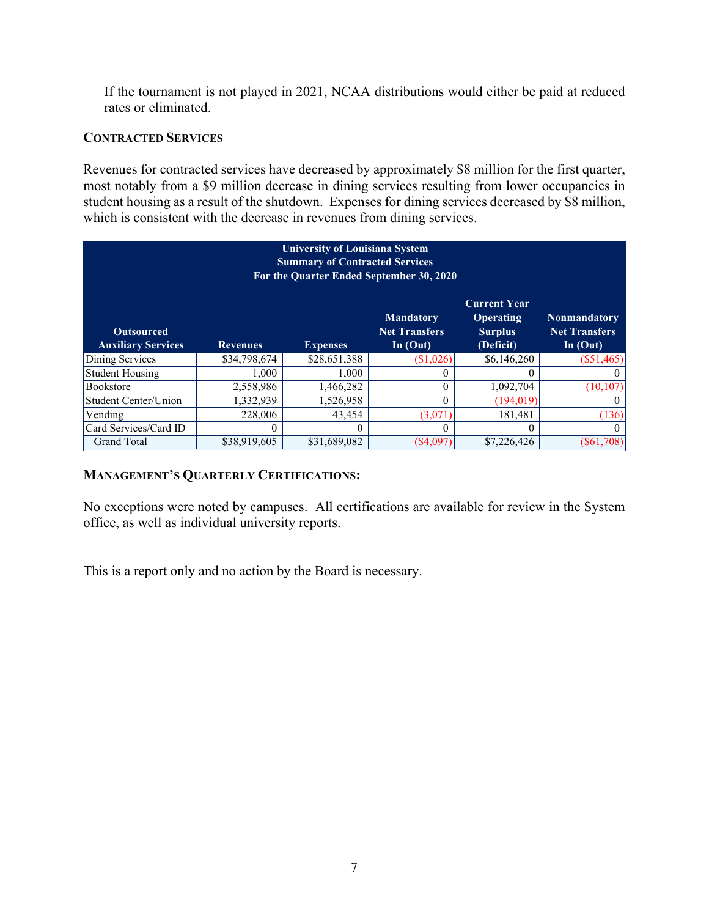If the tournament is not played in 2021, NCAA distributions would either be paid at reduced rates or eliminated.

#### **CONTRACTED SERVICES**

Revenues for contracted services have decreased by approximately \$8 million for the first quarter, most notably from a \$9 million decrease in dining services resulting from lower occupancies in student housing as a result of the shutdown. Expenses for dining services decreased by \$8 million, which is consistent with the decrease in revenues from dining services.

| <b>University of Louisiana System</b><br><b>Summary of Contracted Services</b><br>For the Quarter Ended September 30, 2020 |                 |                 |                                                        |                                                                        |                                                           |  |  |  |
|----------------------------------------------------------------------------------------------------------------------------|-----------------|-----------------|--------------------------------------------------------|------------------------------------------------------------------------|-----------------------------------------------------------|--|--|--|
| <b>Outsourced</b><br><b>Auxiliary Services</b>                                                                             | <b>Revenues</b> | <b>Expenses</b> | <b>Mandatory</b><br><b>Net Transfers</b><br>In $(Out)$ | <b>Current Year</b><br><b>Operating</b><br><b>Surplus</b><br>(Deficit) | <b>Nonmandatory</b><br><b>Net Transfers</b><br>In $(Out)$ |  |  |  |
| Dining Services                                                                                                            | \$34,798,674    | \$28,651,388    | (\$1,026)                                              | \$6,146,260                                                            | $(\$51,465)$                                              |  |  |  |
| <b>Student Housing</b>                                                                                                     | 1.000           | 1,000           |                                                        | $\mathbf{0}$                                                           | $_{0}$                                                    |  |  |  |
| <b>Bookstore</b>                                                                                                           | 2,558,986       | 1,466,282       |                                                        | 1,092,704                                                              | (10, 107)                                                 |  |  |  |
| Student Center/Union                                                                                                       | 1,332,939       | 1,526,958       |                                                        | (194, 019)                                                             |                                                           |  |  |  |
| Vending                                                                                                                    | 228,006         | 43,454          | (3,071)                                                | 181,481                                                                | (136)                                                     |  |  |  |
| Card Services/Card ID                                                                                                      | O               | $^{(1)}$        |                                                        | $\theta$                                                               | $\theta$                                                  |  |  |  |
| <b>Grand Total</b>                                                                                                         | \$38,919,605    | \$31,689,082    | $(*4,097)$                                             | \$7,226,426                                                            | $(\$61,708)$                                              |  |  |  |

#### **MANAGEMENT'S QUARTERLY CERTIFICATIONS:**

No exceptions were noted by campuses. All certifications are available for review in the System office, as well as individual university reports.

This is a report only and no action by the Board is necessary.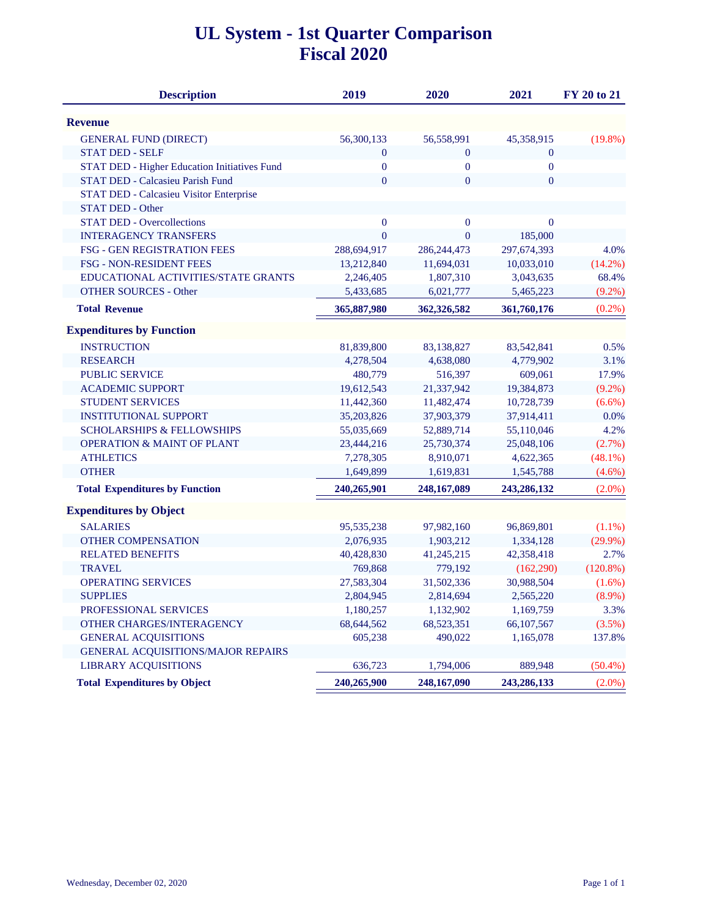### **UL System - 1st Quarter Comparison Fiscal 2020**

| <b>Description</b>                                  | 2019             | 2020             | 2021             | <b>FY 20 to 21</b> |
|-----------------------------------------------------|------------------|------------------|------------------|--------------------|
| <b>Revenue</b>                                      |                  |                  |                  |                    |
| <b>GENERAL FUND (DIRECT)</b>                        | 56,300,133       | 56,558,991       | 45,358,915       | $(19.8\%)$         |
| <b>STAT DED - SELF</b>                              | $\boldsymbol{0}$ | $\boldsymbol{0}$ | $\boldsymbol{0}$ |                    |
| <b>STAT DED - Higher Education Initiatives Fund</b> | $\boldsymbol{0}$ | $\boldsymbol{0}$ | $\boldsymbol{0}$ |                    |
| STAT DED - Calcasieu Parish Fund                    | $\mathbf{0}$     | $\overline{0}$   | $\overline{0}$   |                    |
| STAT DED - Calcasieu Visitor Enterprise             |                  |                  |                  |                    |
| <b>STAT DED - Other</b>                             |                  |                  |                  |                    |
| <b>STAT DED - Overcollections</b>                   | $\boldsymbol{0}$ | $\boldsymbol{0}$ | $\boldsymbol{0}$ |                    |
| <b>INTERAGENCY TRANSFERS</b>                        | $\overline{0}$   | $\overline{0}$   | 185,000          |                    |
| FSG - GEN REGISTRATION FEES                         | 288,694,917      | 286, 244, 473    | 297,674,393      | 4.0%               |
| FSG - NON-RESIDENT FEES                             | 13,212,840       | 11,694,031       | 10,033,010       | $(14.2\%)$         |
| EDUCATIONAL ACTIVITIES/STATE GRANTS                 | 2,246,405        | 1,807,310        | 3,043,635        | 68.4%              |
| <b>OTHER SOURCES - Other</b>                        | 5,433,685        | 6,021,777        | 5,465,223        | $(9.2\%)$          |
| <b>Total Revenue</b>                                | 365,887,980      | 362,326,582      | 361,760,176      | $(0.2\%)$          |
| <b>Expenditures by Function</b>                     |                  |                  |                  |                    |
| <b>INSTRUCTION</b>                                  | 81,839,800       | 83,138,827       | 83,542,841       | 0.5%               |
| <b>RESEARCH</b>                                     | 4,278,504        | 4,638,080        | 4,779,902        | 3.1%               |
| <b>PUBLIC SERVICE</b>                               | 480,779          | 516,397          | 609,061          | 17.9%              |
| <b>ACADEMIC SUPPORT</b>                             | 19,612,543       | 21,337,942       | 19,384,873       | $(9.2\%)$          |
| STUDENT SERVICES                                    | 11,442,360       | 11,482,474       | 10,728,739       | $(6.6\%)$          |
| <b>INSTITUTIONAL SUPPORT</b>                        | 35,203,826       | 37,903,379       | 37,914,411       | 0.0%               |
| <b>SCHOLARSHIPS &amp; FELLOWSHIPS</b>               | 55,035,669       | 52,889,714       | 55,110,046       | 4.2%               |
| <b>OPERATION &amp; MAINT OF PLANT</b>               | 23,444,216       | 25,730,374       | 25,048,106       | (2.7%)             |
| <b>ATHLETICS</b>                                    | 7,278,305        | 8,910,071        | 4,622,365        | $(48.1\%)$         |
| <b>OTHER</b>                                        | 1,649,899        | 1,619,831        | 1,545,788        | $(4.6\%)$          |
| <b>Total Expenditures by Function</b>               | 240,265,901      | 248,167,089      | 243,286,132      | $(2.0\%)$          |
| <b>Expenditures by Object</b>                       |                  |                  |                  |                    |
| <b>SALARIES</b>                                     | 95,535,238       | 97,982,160       | 96,869,801       | $(1.1\%)$          |
| <b>OTHER COMPENSATION</b>                           | 2,076,935        | 1,903,212        | 1,334,128        | $(29.9\%)$         |
| <b>RELATED BENEFITS</b>                             | 40,428,830       | 41,245,215       | 42,358,418       | 2.7%               |
| <b>TRAVEL</b>                                       | 769,868          | 779,192          | (162, 290)       | $(120.8\%)$        |
| <b>OPERATING SERVICES</b>                           | 27,583,304       | 31,502,336       | 30,988,504       | $(1.6\%)$          |
| <b>SUPPLIES</b>                                     | 2,804,945        | 2,814,694        | 2,565,220        | $(8.9\%)$          |
| PROFESSIONAL SERVICES                               | 1,180,257        | 1,132,902        | 1,169,759        | 3.3%               |
| OTHER CHARGES/INTERAGENCY                           | 68,644,562       | 68,523,351       | 66,107,567       | (3.5%)             |
| <b>GENERAL ACQUISITIONS</b>                         | 605,238          | 490,022          | 1,165,078        | 137.8%             |
| <b>GENERAL ACQUISITIONS/MAJOR REPAIRS</b>           |                  |                  |                  |                    |
| <b>LIBRARY ACQUISITIONS</b>                         | 636,723          | 1,794,006        | 889,948          | $(50.4\%)$         |
| <b>Total Expenditures by Object</b>                 | 240,265,900      | 248,167,090      | 243,286,133      | $(2.0\%)$          |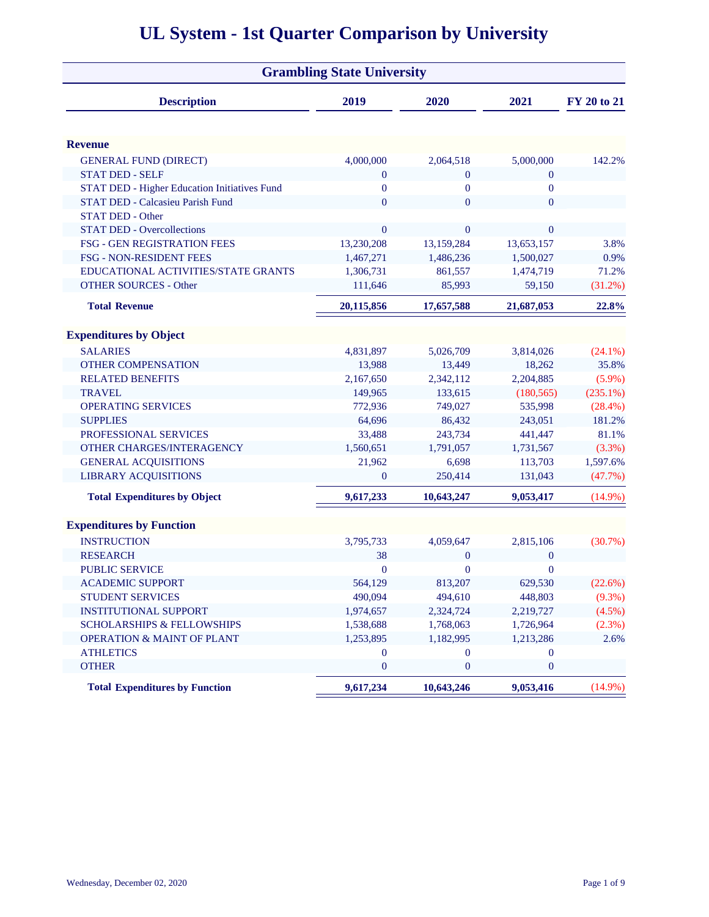|                                              | <b>Grambling State University</b> |                |                  |             |
|----------------------------------------------|-----------------------------------|----------------|------------------|-------------|
| <b>Description</b>                           | 2019                              | 2020           | 2021             | FY 20 to 21 |
| <b>Revenue</b>                               |                                   |                |                  |             |
| <b>GENERAL FUND (DIRECT)</b>                 | 4,000,000                         | 2,064,518      | 5,000,000        | 142.2%      |
| <b>STAT DED - SELF</b>                       | $\boldsymbol{0}$                  | $\mathbf{0}$   | $\mathbf{0}$     |             |
| STAT DED - Higher Education Initiatives Fund | $\bf{0}$                          | $\mathbf{0}$   | $\boldsymbol{0}$ |             |
| <b>STAT DED - Calcasieu Parish Fund</b>      | $\overline{0}$                    | $\overline{0}$ | $\mathbf{0}$     |             |
| <b>STAT DED - Other</b>                      |                                   |                |                  |             |
| <b>STAT DED - Overcollections</b>            | $\overline{0}$                    | $\mathbf{0}$   | $\mathbf{0}$     |             |
| FSG - GEN REGISTRATION FEES                  | 13,230,208                        | 13,159,284     | 13,653,157       | 3.8%        |
| <b>FSG - NON-RESIDENT FEES</b>               | 1,467,271                         | 1,486,236      | 1,500,027        | 0.9%        |
| EDUCATIONAL ACTIVITIES/STATE GRANTS          | 1,306,731                         | 861,557        | 1,474,719        | 71.2%       |
| <b>OTHER SOURCES - Other</b>                 | 111,646                           | 85,993         | 59,150           | $(31.2\%)$  |
| <b>Total Revenue</b>                         | 20,115,856                        | 17,657,588     | 21,687,053       | 22.8%       |
| <b>Expenditures by Object</b>                |                                   |                |                  |             |
| <b>SALARIES</b>                              | 4,831,897                         | 5,026,709      | 3,814,026        | $(24.1\%)$  |
| <b>OTHER COMPENSATION</b>                    | 13,988                            | 13,449         | 18,262           | 35.8%       |
| <b>RELATED BENEFITS</b>                      | 2,167,650                         | 2,342,112      | 2,204,885        | $(5.9\%)$   |
| <b>TRAVEL</b>                                | 149,965                           | 133,615        | (180, 565)       | $(235.1\%)$ |
| <b>OPERATING SERVICES</b>                    | 772,936                           | 749,027        | 535,998          | $(28.4\%)$  |
| <b>SUPPLIES</b>                              | 64,696                            | 86,432         | 243,051          | 181.2%      |
| PROFESSIONAL SERVICES                        | 33,488                            | 243,734        | 441,447          | 81.1%       |
| OTHER CHARGES/INTERAGENCY                    | 1,560,651                         | 1,791,057      | 1,731,567        | $(3.3\%)$   |
| <b>GENERAL ACQUISITIONS</b>                  | 21,962                            | 6,698          | 113,703          | 1,597.6%    |
| <b>LIBRARY ACQUISITIONS</b>                  | $\overline{0}$                    | 250,414        | 131,043          | (47.7%)     |
| <b>Total Expenditures by Object</b>          | 9,617,233                         | 10,643,247     | 9,053,417        | $(14.9\%)$  |
| <b>Expenditures by Function</b>              |                                   |                |                  |             |
| <b>INSTRUCTION</b>                           | 3,795,733                         | 4,059,647      | 2,815,106        | $(30.7\%)$  |
| <b>RESEARCH</b>                              | 38                                | $\overline{0}$ | $\boldsymbol{0}$ |             |
| <b>PUBLIC SERVICE</b>                        | $\bf{0}$                          | $\mathbf{0}$   | $\boldsymbol{0}$ |             |
| <b>ACADEMIC SUPPORT</b>                      | 564,129                           | 813,207        | 629,530          | (22.6%)     |
| STUDENT SERVICES                             | 490,094                           | 494,610        | 448,803          | $(9.3\%)$   |
| <b>INSTITUTIONAL SUPPORT</b>                 | 1,974,657                         | 2,324,724      | 2,219,727        | $(4.5\%)$   |
| <b>SCHOLARSHIPS &amp; FELLOWSHIPS</b>        | 1,538,688                         | 1,768,063      | 1,726,964        | (2.3%)      |
| <b>OPERATION &amp; MAINT OF PLANT</b>        | 1,253,895                         | 1,182,995      | 1,213,286        | 2.6%        |
| <b>ATHLETICS</b>                             | $\bf{0}$                          | $\mathbf{0}$   | $\mathbf{0}$     |             |
| <b>OTHER</b>                                 | $\boldsymbol{0}$                  | $\mathbf{0}$   | $\boldsymbol{0}$ |             |
| <b>Total Expenditures by Function</b>        | 9,617,234                         | 10,643,246     | 9,053,416        | $(14.9\%)$  |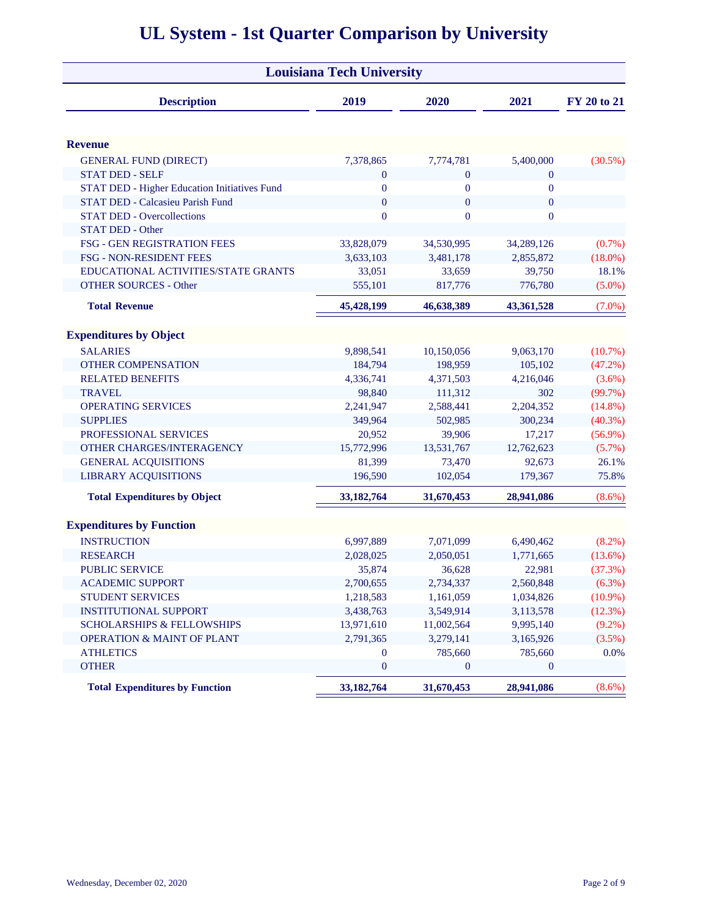|                                              | <b>Louisiana Tech University</b> |                  |                  |             |
|----------------------------------------------|----------------------------------|------------------|------------------|-------------|
| <b>Description</b>                           | 2019                             | 2020             | 2021             | FY 20 to 21 |
| <b>Revenue</b>                               |                                  |                  |                  |             |
| <b>GENERAL FUND (DIRECT)</b>                 | 7,378,865                        | 7,774,781        | 5,400,000        | $(30.5\%)$  |
| <b>STAT DED - SELF</b>                       | $\boldsymbol{0}$                 | $\mathbf{0}$     | $\boldsymbol{0}$ |             |
| STAT DED - Higher Education Initiatives Fund | $\bf{0}$                         | $\boldsymbol{0}$ | $\boldsymbol{0}$ |             |
| STAT DED - Calcasieu Parish Fund             | $\mathbf{0}$                     | $\mathbf{0}$     | $\mathbf{0}$     |             |
| <b>STAT DED - Overcollections</b>            | $\overline{0}$                   | $\overline{0}$   | $\mathbf{0}$     |             |
| STAT DED - Other                             |                                  |                  |                  |             |
| FSG - GEN REGISTRATION FEES                  | 33,828,079                       | 34,530,995       | 34,289,126       | $(0.7\%)$   |
| FSG - NON-RESIDENT FEES                      | 3,633,103                        | 3,481,178        | 2,855,872        | $(18.0\%)$  |
| EDUCATIONAL ACTIVITIES/STATE GRANTS          | 33,051                           | 33,659           | 39,750           | 18.1%       |
| <b>OTHER SOURCES - Other</b>                 | 555,101                          | 817,776          | 776,780          | $(5.0\%)$   |
| <b>Total Revenue</b>                         | 45,428,199                       | 46,638,389       | 43,361,528       | $(7.0\%)$   |
| <b>Expenditures by Object</b>                |                                  |                  |                  |             |
| <b>SALARIES</b>                              | 9,898,541                        | 10,150,056       | 9,063,170        | $(10.7\%)$  |
| <b>OTHER COMPENSATION</b>                    | 184,794                          | 198,959          | 105,102          | $(47.2\%)$  |
| <b>RELATED BENEFITS</b>                      | 4,336,741                        | 4,371,503        | 4,216,046        | $(3.6\%)$   |
| <b>TRAVEL</b>                                | 98,840                           | 111,312          | 302              | (99.7%)     |
| <b>OPERATING SERVICES</b>                    | 2,241,947                        | 2,588,441        | 2,204,352        | $(14.8\%)$  |
| <b>SUPPLIES</b>                              | 349,964                          | 502,985          | 300,234          | $(40.3\%)$  |
| PROFESSIONAL SERVICES                        | 20,952                           | 39,906           | 17,217           | $(56.9\%)$  |
| OTHER CHARGES/INTERAGENCY                    | 15,772,996                       | 13,531,767       | 12,762,623       | $(5.7\%)$   |
| <b>GENERAL ACQUISITIONS</b>                  | 81,399                           | 73,470           | 92,673           | 26.1%       |
| <b>LIBRARY ACQUISITIONS</b>                  | 196,590                          | 102,054          | 179,367          | 75.8%       |
| <b>Total Expenditures by Object</b>          | 33, 182, 764                     | 31,670,453       | 28,941,086       | $(8.6\%)$   |
| <b>Expenditures by Function</b>              |                                  |                  |                  |             |
| <b>INSTRUCTION</b>                           | 6,997,889                        | 7,071,099        | 6,490,462        | $(8.2\%)$   |
| <b>RESEARCH</b>                              | 2,028,025                        | 2,050,051        | 1,771,665        | $(13.6\%)$  |
| <b>PUBLIC SERVICE</b>                        | 35,874                           | 36,628           | 22,981           | (37.3%)     |
| <b>ACADEMIC SUPPORT</b>                      | 2,700,655                        | 2,734,337        | 2,560,848        | (6.3%)      |
| <b>STUDENT SERVICES</b>                      | 1,218,583                        | 1,161,059        | 1,034,826        | $(10.9\%)$  |
| <b>INSTITUTIONAL SUPPORT</b>                 | 3,438,763                        | 3,549,914        | 3,113,578        | (12.3%)     |
| <b>SCHOLARSHIPS &amp; FELLOWSHIPS</b>        | 13,971,610                       | 11,002,564       | 9,995,140        | $(9.2\%)$   |
| <b>OPERATION &amp; MAINT OF PLANT</b>        | 2,791,365                        | 3,279,141        | 3,165,926        | $(3.5\%)$   |
| <b>ATHLETICS</b>                             | $\overline{0}$                   | 785,660          | 785,660          | 0.0%        |
| <b>OTHER</b>                                 | $\boldsymbol{0}$                 | $\mathbf{0}$     | $\mathbf{0}$     |             |
| <b>Total Expenditures by Function</b>        | 33, 182, 764                     | 31,670,453       | 28,941,086       | $(8.6\%)$   |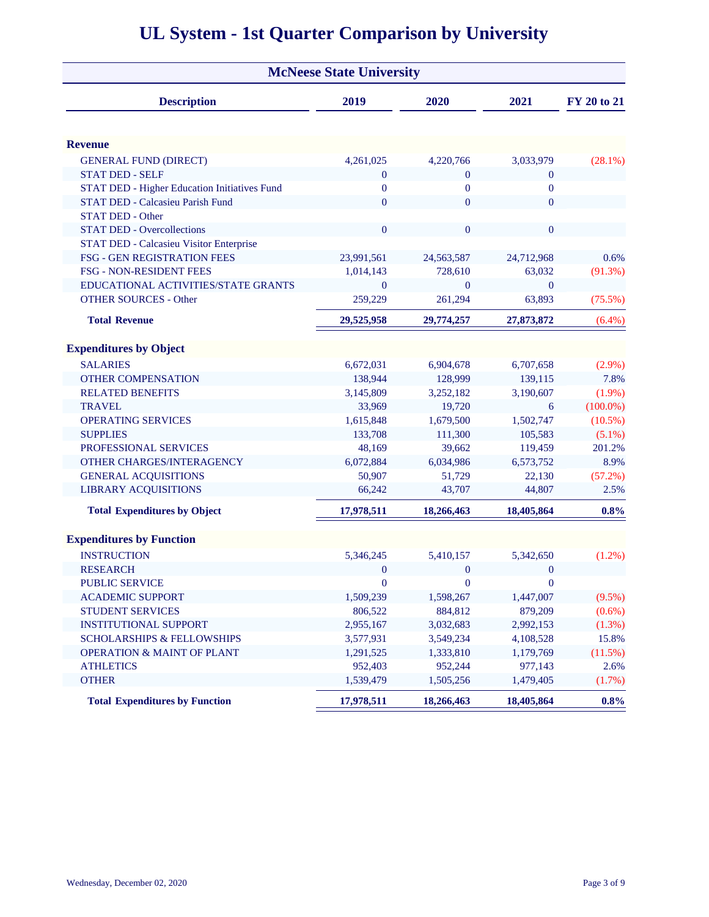|                                              | <b>McNeese State University</b> |                |                |             |
|----------------------------------------------|---------------------------------|----------------|----------------|-------------|
| <b>Description</b>                           | 2019                            | 2020           | 2021           | FY 20 to 21 |
|                                              |                                 |                |                |             |
| <b>Revenue</b>                               |                                 |                |                |             |
| <b>GENERAL FUND (DIRECT)</b>                 | 4,261,025                       | 4,220,766      | 3,033,979      | $(28.1\%)$  |
| <b>STAT DED - SELF</b>                       | $\mathbf{0}$                    | $\mathbf{0}$   | $\overline{0}$ |             |
| STAT DED - Higher Education Initiatives Fund | $\overline{0}$                  | $\overline{0}$ | $\overline{0}$ |             |
| STAT DED - Calcasieu Parish Fund             | $\overline{0}$                  | $\theta$       | $\Omega$       |             |
| <b>STAT DED - Other</b>                      |                                 |                |                |             |
| <b>STAT DED - Overcollections</b>            | $\overline{0}$                  | $\overline{0}$ | $\overline{0}$ |             |
| STAT DED - Calcasieu Visitor Enterprise      |                                 |                |                |             |
| FSG - GEN REGISTRATION FEES                  | 23,991,561                      | 24,563,587     | 24,712,968     | 0.6%        |
| <b>FSG - NON-RESIDENT FEES</b>               | 1,014,143                       | 728,610        | 63,032         | $(91.3\%)$  |
| EDUCATIONAL ACTIVITIES/STATE GRANTS          | $\Omega$                        | $\Omega$       | $\theta$       |             |
| <b>OTHER SOURCES - Other</b>                 | 259,229                         | 261,294        | 63,893         | $(75.5\%)$  |
| <b>Total Revenue</b>                         | 29,525,958                      | 29,774,257     | 27,873,872     | $(6.4\%)$   |
| <b>Expenditures by Object</b>                |                                 |                |                |             |
| <b>SALARIES</b>                              | 6,672,031                       | 6,904,678      | 6,707,658      | $(2.9\%)$   |
| <b>OTHER COMPENSATION</b>                    | 138,944                         | 128,999        | 139,115        | 7.8%        |
| <b>RELATED BENEFITS</b>                      | 3,145,809                       | 3,252,182      | 3,190,607      | $(1.9\%)$   |
| <b>TRAVEL</b>                                | 33,969                          | 19,720         | 6              | $(100.0\%)$ |
| <b>OPERATING SERVICES</b>                    | 1,615,848                       | 1,679,500      | 1,502,747      | $(10.5\%)$  |
| <b>SUPPLIES</b>                              | 133,708                         | 111,300        | 105,583        | $(5.1\%)$   |
| PROFESSIONAL SERVICES                        | 48,169                          | 39,662         | 119,459        | 201.2%      |
| OTHER CHARGES/INTERAGENCY                    | 6,072,884                       | 6,034,986      | 6,573,752      | 8.9%        |
| <b>GENERAL ACQUISITIONS</b>                  | 50,907                          | 51,729         | 22,130         | $(57.2\%)$  |
| <b>LIBRARY ACQUISITIONS</b>                  | 66,242                          | 43,707         | 44,807         | 2.5%        |
| <b>Total Expenditures by Object</b>          | 17,978,511                      | 18,266,463     | 18,405,864     | 0.8%        |
| <b>Expenditures by Function</b>              |                                 |                |                |             |
| <b>INSTRUCTION</b>                           | 5,346,245                       | 5,410,157      | 5,342,650      | $(1.2\%)$   |
| <b>RESEARCH</b>                              | $\bf{0}$                        | $\mathbf{0}$   | $\mathbf{0}$   |             |
| PUBLIC SERVICE                               | $\boldsymbol{0}$                | $\mathbf{0}$   | $\mathbf{0}$   |             |
| <b>ACADEMIC SUPPORT</b>                      | 1,509,239                       | 1,598,267      | 1,447,007      | (9.5%)      |
| <b>STUDENT SERVICES</b>                      | 806,522                         | 884,812        | 879,209        | $(0.6\%)$   |
| <b>INSTITUTIONAL SUPPORT</b>                 | 2,955,167                       | 3,032,683      | 2,992,153      | (1.3%)      |
| <b>SCHOLARSHIPS &amp; FELLOWSHIPS</b>        | 3,577,931                       | 3,549,234      | 4,108,528      | 15.8%       |
| <b>OPERATION &amp; MAINT OF PLANT</b>        | 1,291,525                       | 1,333,810      | 1,179,769      | (11.5%)     |
| <b>ATHLETICS</b>                             | 952,403                         | 952,244        | 977,143        | 2.6%        |
| <b>OTHER</b>                                 | 1,539,479                       | 1,505,256      | 1,479,405      | (1.7%)      |
| <b>Total Expenditures by Function</b>        | 17,978,511                      | 18,266,463     | 18,405,864     | 0.8%        |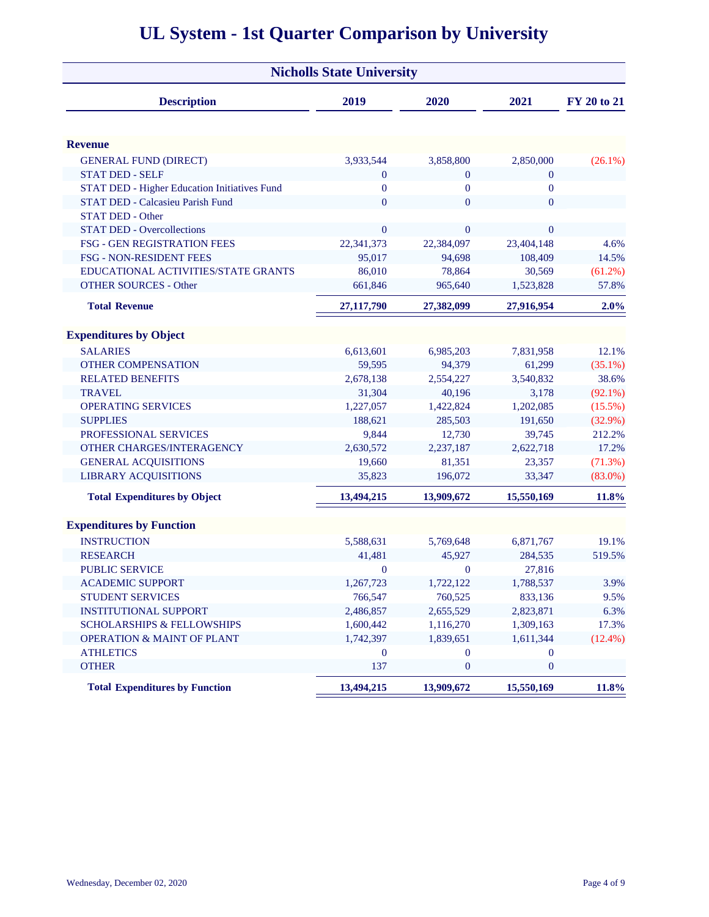|                                                     | <b>Nicholls State University</b> |                  |                  |             |
|-----------------------------------------------------|----------------------------------|------------------|------------------|-------------|
| <b>Description</b>                                  | 2019                             | 2020             | 2021             | FY 20 to 21 |
| <b>Revenue</b>                                      |                                  |                  |                  |             |
| <b>GENERAL FUND (DIRECT)</b>                        | 3,933,544                        | 3,858,800        | 2,850,000        | $(26.1\%)$  |
| <b>STAT DED - SELF</b>                              | $\boldsymbol{0}$                 | $\mathbf{0}$     | $\mathbf{0}$     |             |
| <b>STAT DED - Higher Education Initiatives Fund</b> | $\mathbf{0}$                     | $\mathbf{0}$     | $\boldsymbol{0}$ |             |
| STAT DED - Calcasieu Parish Fund                    | $\overline{0}$                   | $\overline{0}$   | $\overline{0}$   |             |
| <b>STAT DED - Other</b>                             |                                  |                  |                  |             |
| <b>STAT DED - Overcollections</b>                   | $\boldsymbol{0}$                 | $\overline{0}$   | $\overline{0}$   |             |
| FSG - GEN REGISTRATION FEES                         | 22,341,373                       | 22,384,097       | 23,404,148       | 4.6%        |
| FSG - NON-RESIDENT FEES                             | 95,017                           | 94,698           | 108,409          | 14.5%       |
| EDUCATIONAL ACTIVITIES/STATE GRANTS                 | 86,010                           | 78,864           | 30,569           | $(61.2\%)$  |
| <b>OTHER SOURCES - Other</b>                        | 661,846                          | 965,640          | 1,523,828        | 57.8%       |
| <b>Total Revenue</b>                                | 27,117,790                       | 27,382,099       | 27,916,954       | 2.0%        |
| <b>Expenditures by Object</b>                       |                                  |                  |                  |             |
| <b>SALARIES</b>                                     | 6,613,601                        | 6,985,203        | 7,831,958        | 12.1%       |
| <b>OTHER COMPENSATION</b>                           | 59,595                           | 94,379           | 61,299           | $(35.1\%)$  |
| <b>RELATED BENEFITS</b>                             | 2,678,138                        | 2,554,227        | 3,540,832        | 38.6%       |
| <b>TRAVEL</b>                                       | 31,304                           | 40,196           | 3,178            | $(92.1\%)$  |
| <b>OPERATING SERVICES</b>                           | 1,227,057                        | 1,422,824        | 1,202,085        | $(15.5\%)$  |
| <b>SUPPLIES</b>                                     | 188,621                          | 285,503          | 191,650          | $(32.9\%)$  |
| PROFESSIONAL SERVICES                               | 9,844                            | 12,730           | 39,745           | 212.2%      |
| OTHER CHARGES/INTERAGENCY                           | 2,630,572                        | 2,237,187        | 2,622,718        | 17.2%       |
| <b>GENERAL ACQUISITIONS</b>                         | 19,660                           | 81,351           | 23,357           | (71.3%)     |
| <b>LIBRARY ACQUISITIONS</b>                         | 35,823                           | 196,072          | 33,347           | $(83.0\%)$  |
| <b>Total Expenditures by Object</b>                 | 13,494,215                       | 13,909,672       | 15,550,169       | 11.8%       |
| <b>Expenditures by Function</b>                     |                                  |                  |                  |             |
| <b>INSTRUCTION</b>                                  | 5,588,631                        | 5,769,648        | 6,871,767        | 19.1%       |
| <b>RESEARCH</b>                                     | 41,481                           | 45,927           | 284,535          | 519.5%      |
| <b>PUBLIC SERVICE</b>                               | $\bf{0}$                         | $\overline{0}$   | 27,816           |             |
| <b>ACADEMIC SUPPORT</b>                             | 1,267,723                        | 1,722,122        | 1,788,537        | 3.9%        |
| STUDENT SERVICES                                    | 766,547                          | 760,525          | 833,136          | 9.5%        |
| <b>INSTITUTIONAL SUPPORT</b>                        | 2,486,857                        | 2,655,529        | 2,823,871        | 6.3%        |
| <b>SCHOLARSHIPS &amp; FELLOWSHIPS</b>               | 1,600,442                        | 1,116,270        | 1,309,163        | 17.3%       |
| <b>OPERATION &amp; MAINT OF PLANT</b>               | 1,742,397                        | 1,839,651        | 1,611,344        | $(12.4\%)$  |
| <b>ATHLETICS</b>                                    | $\bf{0}$                         | $\mathbf{0}$     | $\overline{0}$   |             |
| <b>OTHER</b>                                        | 137                              | $\boldsymbol{0}$ | $\boldsymbol{0}$ |             |
| <b>Total Expenditures by Function</b>               | 13,494,215                       | 13,909,672       | 15,550,169       | 11.8%       |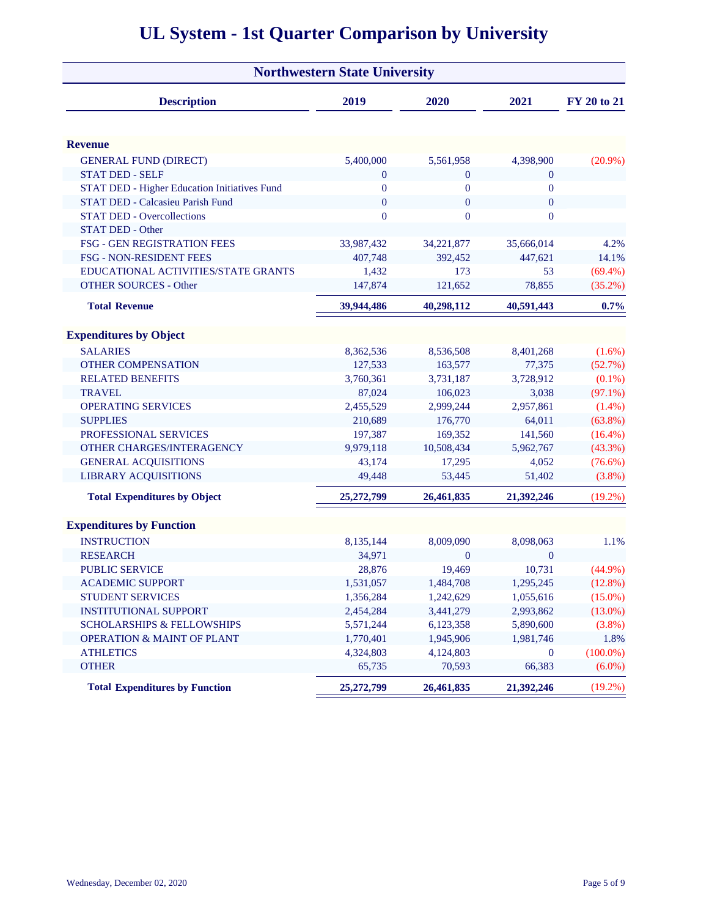|                                                                              | <b>Northwestern State University</b> |                  |                  |                       |
|------------------------------------------------------------------------------|--------------------------------------|------------------|------------------|-----------------------|
| <b>Description</b>                                                           | 2019                                 | 2020             | 2021             | FY 20 to 21           |
| <b>Revenue</b>                                                               |                                      |                  |                  |                       |
|                                                                              |                                      |                  |                  |                       |
| <b>GENERAL FUND (DIRECT)</b>                                                 | 5,400,000                            | 5,561,958        | 4,398,900        | $(20.9\%)$            |
| <b>STAT DED - SELF</b>                                                       | $\boldsymbol{0}$                     | $\mathbf{0}$     | $\mathbf{0}$     |                       |
| STAT DED - Higher Education Initiatives Fund                                 | $\bf{0}$                             | $\overline{0}$   | $\overline{0}$   |                       |
| <b>STAT DED - Calcasieu Parish Fund</b><br><b>STAT DED - Overcollections</b> | $\boldsymbol{0}$                     | $\boldsymbol{0}$ | $\boldsymbol{0}$ |                       |
|                                                                              | $\overline{0}$                       | $\overline{0}$   | $\overline{0}$   |                       |
| <b>STAT DED - Other</b>                                                      |                                      |                  |                  |                       |
| FSG - GEN REGISTRATION FEES                                                  | 33,987,432                           | 34,221,877       | 35,666,014       | 4.2%                  |
| <b>FSG - NON-RESIDENT FEES</b>                                               | 407,748<br>1,432                     | 392,452          | 447,621<br>53    | 14.1%                 |
| EDUCATIONAL ACTIVITIES/STATE GRANTS<br><b>OTHER SOURCES - Other</b>          | 147,874                              | 173<br>121,652   | 78,855           | $(69.4\%)$<br>(35.2%) |
|                                                                              |                                      |                  |                  |                       |
| <b>Total Revenue</b>                                                         | 39,944,486                           | 40,298,112       | 40,591,443       | 0.7%                  |
| <b>Expenditures by Object</b>                                                |                                      |                  |                  |                       |
| <b>SALARIES</b>                                                              | 8,362,536                            | 8,536,508        | 8,401,268        | $(1.6\%)$             |
| <b>OTHER COMPENSATION</b>                                                    | 127,533                              | 163,577          | 77,375           | (52.7%)               |
| <b>RELATED BENEFITS</b>                                                      | 3,760,361                            | 3,731,187        | 3,728,912        | $(0.1\%)$             |
| <b>TRAVEL</b>                                                                | 87,024                               | 106,023          | 3,038            | $(97.1\%)$            |
| <b>OPERATING SERVICES</b>                                                    | 2,455,529                            | 2,999,244        | 2,957,861        | $(1.4\%)$             |
| <b>SUPPLIES</b>                                                              | 210,689                              | 176,770          | 64,011           | $(63.8\%)$            |
| PROFESSIONAL SERVICES                                                        | 197,387                              | 169,352          | 141,560          | $(16.4\%)$            |
| OTHER CHARGES/INTERAGENCY                                                    | 9,979,118                            | 10,508,434       | 5,962,767        | $(43.3\%)$            |
| <b>GENERAL ACQUISITIONS</b>                                                  | 43,174                               | 17,295           | 4,052            | $(76.6\%)$            |
| <b>LIBRARY ACQUISITIONS</b>                                                  | 49,448                               | 53,445           | 51,402           | $(3.8\%)$             |
| <b>Total Expenditures by Object</b>                                          | 25,272,799                           | 26,461,835       | 21,392,246       | $(19.2\%)$            |
| <b>Expenditures by Function</b>                                              |                                      |                  |                  |                       |
| <b>INSTRUCTION</b>                                                           | 8,135,144                            | 8,009,090        | 8,098,063        | 1.1%                  |
| <b>RESEARCH</b>                                                              | 34,971                               | $\mathbf{0}$     | $\overline{0}$   |                       |
| <b>PUBLIC SERVICE</b>                                                        | 28,876                               | 19,469           | 10,731           | $(44.9\%)$            |
| <b>ACADEMIC SUPPORT</b>                                                      | 1,531,057                            | 1,484,708        | 1,295,245        | $(12.8\%)$            |
| <b>STUDENT SERVICES</b>                                                      | 1,356,284                            | 1,242,629        | 1,055,616        | $(15.0\%)$            |
| <b>INSTITUTIONAL SUPPORT</b>                                                 | 2,454,284                            | 3,441,279        | 2,993,862        | $(13.0\%)$            |
| <b>SCHOLARSHIPS &amp; FELLOWSHIPS</b>                                        | 5,571,244                            | 6,123,358        | 5,890,600        | $(3.8\%)$             |
| <b>OPERATION &amp; MAINT OF PLANT</b>                                        | 1,770,401                            | 1,945,906        | 1,981,746        | 1.8%                  |
| <b>ATHLETICS</b>                                                             | 4,324,803                            | 4,124,803        | $\boldsymbol{0}$ | $(100.0\%)$           |
| <b>OTHER</b>                                                                 | 65,735                               | 70,593           | 66,383           | $(6.0\%)$             |
| <b>Total Expenditures by Function</b>                                        | 25,272,799                           | 26,461,835       | 21,392,246       | $(19.2\%)$            |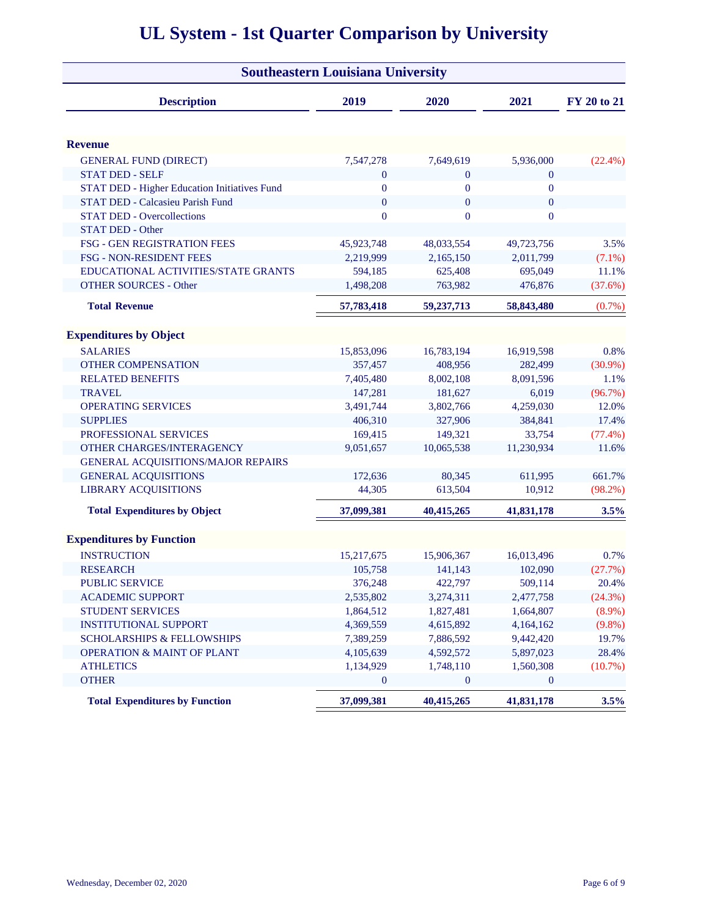|                                              | <b>Southeastern Louisiana University</b> |                    |                  |                  |
|----------------------------------------------|------------------------------------------|--------------------|------------------|------------------|
| <b>Description</b>                           | 2019                                     | 2020               | 2021             | FY 20 to 21      |
|                                              |                                          |                    |                  |                  |
| <b>Revenue</b>                               |                                          |                    |                  |                  |
| <b>GENERAL FUND (DIRECT)</b>                 | 7,547,278                                | 7,649,619          | 5,936,000        | $(22.4\%)$       |
| <b>STAT DED - SELF</b>                       | $\boldsymbol{0}$                         | $\overline{0}$     | $\mathbf{0}$     |                  |
| STAT DED - Higher Education Initiatives Fund | $\bf{0}$                                 | $\overline{0}$     | $\boldsymbol{0}$ |                  |
| <b>STAT DED - Calcasieu Parish Fund</b>      | $\boldsymbol{0}$                         | $\mathbf{0}$       | $\mathbf{0}$     |                  |
| <b>STAT DED - Overcollections</b>            | $\overline{0}$                           | $\overline{0}$     | $\overline{0}$   |                  |
| <b>STAT DED - Other</b>                      |                                          |                    |                  |                  |
| FSG - GEN REGISTRATION FEES                  | 45,923,748                               | 48,033,554         | 49,723,756       | 3.5%             |
| <b>FSG - NON-RESIDENT FEES</b>               | 2,219,999                                | 2,165,150          | 2,011,799        | $(7.1\%)$        |
| EDUCATIONAL ACTIVITIES/STATE GRANTS          | 594,185                                  | 625,408            | 695,049          | 11.1%            |
| <b>OTHER SOURCES - Other</b>                 | 1,498,208                                | 763,982            | 476,876          | (37.6%)          |
| <b>Total Revenue</b>                         | 57,783,418                               | 59,237,713         | 58,843,480       | (0.7%)           |
| <b>Expenditures by Object</b>                |                                          |                    |                  |                  |
| <b>SALARIES</b>                              | 15,853,096                               | 16,783,194         | 16,919,598       | 0.8%             |
| <b>OTHER COMPENSATION</b>                    | 357,457                                  | 408,956            | 282,499          | $(30.9\%)$       |
| <b>RELATED BENEFITS</b>                      | 7,405,480                                | 8,002,108          | 8,091,596        | 1.1%             |
| <b>TRAVEL</b>                                | 147,281                                  | 181,627            | 6,019            | (96.7%)          |
| <b>OPERATING SERVICES</b>                    | 3,491,744                                | 3,802,766          | 4,259,030        | 12.0%            |
| <b>SUPPLIES</b>                              | 406,310                                  | 327,906            | 384,841          | 17.4%            |
| PROFESSIONAL SERVICES                        | 169,415                                  | 149,321            | 33,754           | (77.4%)          |
| OTHER CHARGES/INTERAGENCY                    | 9,051,657                                | 10,065,538         | 11,230,934       | 11.6%            |
| GENERAL ACQUISITIONS/MAJOR REPAIRS           |                                          |                    |                  |                  |
| <b>GENERAL ACQUISITIONS</b>                  | 172,636                                  | 80,345             | 611,995          | 661.7%           |
| <b>LIBRARY ACQUISITIONS</b>                  | 44,305                                   | 613,504            | 10,912           | $(98.2\%)$       |
| <b>Total Expenditures by Object</b>          | 37,099,381                               | 40,415,265         | 41,831,178       | 3.5%             |
| <b>Expenditures by Function</b>              |                                          |                    |                  |                  |
| <b>INSTRUCTION</b>                           |                                          |                    |                  | 0.7%             |
| <b>RESEARCH</b>                              | 15,217,675                               | 15,906,367         | 16,013,496       |                  |
| <b>PUBLIC SERVICE</b>                        | 105,758                                  | 141,143<br>422,797 | 102,090          | (27.7%)<br>20.4% |
|                                              | 376,248                                  |                    | 509,114          |                  |
| <b>ACADEMIC SUPPORT</b>                      | 2,535,802                                | 3,274,311          | 2,477,758        | (24.3%)          |
| <b>STUDENT SERVICES</b>                      | 1,864,512                                | 1,827,481          | 1,664,807        | $(8.9\%)$        |
| <b>INSTITUTIONAL SUPPORT</b>                 | 4,369,559                                | 4,615,892          | 4,164,162        | $(9.8\%)$        |
| <b>SCHOLARSHIPS &amp; FELLOWSHIPS</b>        | 7,389,259                                | 7,886,592          | 9,442,420        | 19.7%            |
| <b>OPERATION &amp; MAINT OF PLANT</b>        | 4,105,639                                | 4,592,572          | 5,897,023        | 28.4%            |
| <b>ATHLETICS</b>                             | 1,134,929                                | 1,748,110          | 1,560,308        | (10.7%)          |
| <b>OTHER</b>                                 | $\mathbf{0}$                             | $\bf{0}$           | $\bf{0}$         |                  |
| <b>Total Expenditures by Function</b>        | 37,099,381                               | 40,415,265         | 41,831,178       | 3.5%             |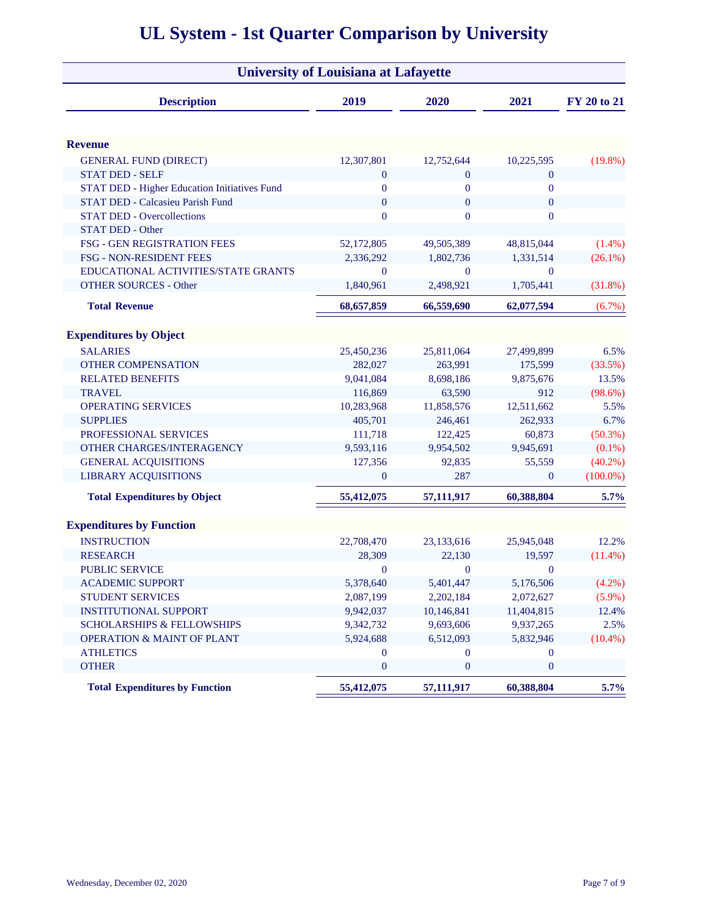|                                              | <b>University of Louisiana at Lafayette</b> |                  |                  |             |
|----------------------------------------------|---------------------------------------------|------------------|------------------|-------------|
| <b>Description</b>                           | 2019                                        | 2020             | 2021             | FY 20 to 21 |
| <b>Revenue</b>                               |                                             |                  |                  |             |
| <b>GENERAL FUND (DIRECT)</b>                 | 12,307,801                                  | 12,752,644       | 10,225,595       | $(19.8\%)$  |
| <b>STAT DED - SELF</b>                       | $\mathbf{0}$                                | $\mathbf{0}$     | $\mathbf{0}$     |             |
| STAT DED - Higher Education Initiatives Fund | $\mathbf{0}$                                | $\mathbf{0}$     | $\boldsymbol{0}$ |             |
| <b>STAT DED - Calcasieu Parish Fund</b>      | $\mathbf{0}$                                | $\mathbf{0}$     | $\mathbf{0}$     |             |
| <b>STAT DED - Overcollections</b>            | $\overline{0}$                              | $\overline{0}$   | $\mathbf{0}$     |             |
| <b>STAT DED - Other</b>                      |                                             |                  |                  |             |
| FSG - GEN REGISTRATION FEES                  | 52,172,805                                  | 49,505,389       | 48,815,044       | $(1.4\%)$   |
| <b>FSG - NON-RESIDENT FEES</b>               | 2,336,292                                   | 1,802,736        | 1,331,514        | $(26.1\%)$  |
| EDUCATIONAL ACTIVITIES/STATE GRANTS          | $\mathbf{0}$                                | $\mathbf{0}$     | $\theta$         |             |
| <b>OTHER SOURCES - Other</b>                 | 1,840,961                                   | 2,498,921        | 1,705,441        | (31.8%)     |
| <b>Total Revenue</b>                         | 68,657,859                                  | 66,559,690       | 62,077,594       | $(6.7\%)$   |
| <b>Expenditures by Object</b>                |                                             |                  |                  |             |
| <b>SALARIES</b>                              | 25,450,236                                  | 25,811,064       | 27,499,899       | 6.5%        |
| <b>OTHER COMPENSATION</b>                    | 282,027                                     | 263,991          | 175,599          | (33.5%)     |
| <b>RELATED BENEFITS</b>                      | 9,041,084                                   | 8,698,186        | 9,875,676        | 13.5%       |
| <b>TRAVEL</b>                                | 116,869                                     | 63,590           | 912              | $(98.6\%)$  |
| <b>OPERATING SERVICES</b>                    | 10,283,968                                  | 11,858,576       | 12,511,662       | 5.5%        |
| <b>SUPPLIES</b>                              | 405,701                                     | 246,461          | 262,933          | 6.7%        |
| PROFESSIONAL SERVICES                        | 111,718                                     | 122,425          | 60,873           | $(50.3\%)$  |
| OTHER CHARGES/INTERAGENCY                    | 9,593,116                                   | 9,954,502        | 9,945,691        | $(0.1\%)$   |
| <b>GENERAL ACQUISITIONS</b>                  | 127,356                                     | 92,835           | 55,559           | $(40.2\%)$  |
| <b>LIBRARY ACQUISITIONS</b>                  | $\mathbf{0}$                                | 287              | $\mathbf{0}$     | $(100.0\%)$ |
| <b>Total Expenditures by Object</b>          | 55,412,075                                  | 57,111,917       | 60,388,804       | 5.7%        |
| <b>Expenditures by Function</b>              |                                             |                  |                  |             |
| <b>INSTRUCTION</b>                           | 22,708,470                                  | 23,133,616       | 25,945,048       | 12.2%       |
| <b>RESEARCH</b>                              | 28,309                                      | 22,130           | 19,597           | $(11.4\%)$  |
| <b>PUBLIC SERVICE</b>                        | $\bf{0}$                                    | $\boldsymbol{0}$ | $\mathbf{0}$     |             |
| <b>ACADEMIC SUPPORT</b>                      | 5,378,640                                   | 5,401,447        | 5,176,506        | $(4.2\%)$   |
| STUDENT SERVICES                             | 2,087,199                                   | 2,202,184        | 2,072,627        | $(5.9\%)$   |
| <b>INSTITUTIONAL SUPPORT</b>                 | 9,942,037                                   | 10,146,841       | 11,404,815       | 12.4%       |
| <b>SCHOLARSHIPS &amp; FELLOWSHIPS</b>        | 9,342,732                                   | 9,693,606        | 9,937,265        | 2.5%        |
| <b>OPERATION &amp; MAINT OF PLANT</b>        | 5,924,688                                   | 6,512,093        | 5,832,946        | $(10.4\%)$  |
| <b>ATHLETICS</b>                             | $\overline{0}$                              | $\mathbf{0}$     | $\mathbf{0}$     |             |
| <b>OTHER</b>                                 | $\boldsymbol{0}$                            | $\boldsymbol{0}$ | $\boldsymbol{0}$ |             |
| <b>Total Expenditures by Function</b>        | 55,412,075                                  | 57,111,917       | 60,388,804       | 5.7%        |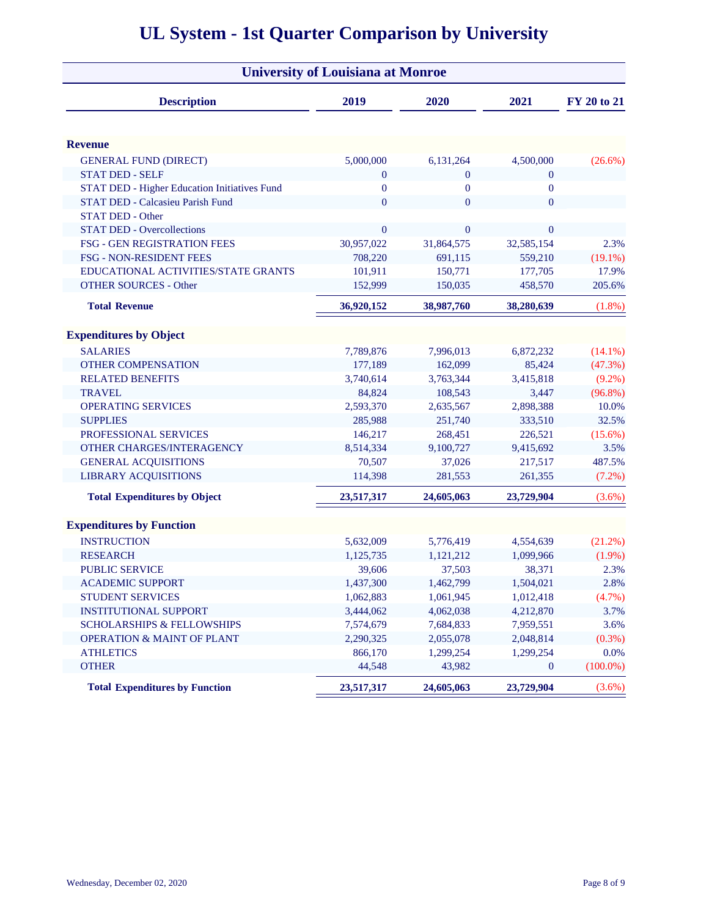| <b>University of Louisiana at Monroe</b>     |                |                  |                  |             |  |  |  |  |  |  |
|----------------------------------------------|----------------|------------------|------------------|-------------|--|--|--|--|--|--|
| <b>Description</b>                           | 2019           | 2020             | 2021             | FY 20 to 21 |  |  |  |  |  |  |
| <b>Revenue</b>                               |                |                  |                  |             |  |  |  |  |  |  |
| <b>GENERAL FUND (DIRECT)</b>                 | 5,000,000      | 6,131,264        | 4,500,000        | $(26.6\%)$  |  |  |  |  |  |  |
| <b>STAT DED - SELF</b>                       | $\mathbf{0}$   | $\mathbf{0}$     | $\boldsymbol{0}$ |             |  |  |  |  |  |  |
| STAT DED - Higher Education Initiatives Fund | $\bf{0}$       | $\boldsymbol{0}$ | $\boldsymbol{0}$ |             |  |  |  |  |  |  |
| STAT DED - Calcasieu Parish Fund             | $\overline{0}$ | $\overline{0}$   | $\mathbf{0}$     |             |  |  |  |  |  |  |
| <b>STAT DED - Other</b>                      |                |                  |                  |             |  |  |  |  |  |  |
| <b>STAT DED - Overcollections</b>            | $\overline{0}$ | $\mathbf{0}$     | $\mathbf{0}$     |             |  |  |  |  |  |  |
| FSG - GEN REGISTRATION FEES                  | 30,957,022     | 31,864,575       | 32,585,154       | 2.3%        |  |  |  |  |  |  |
| <b>FSG - NON-RESIDENT FEES</b>               | 708,220        | 691,115          | 559,210          | $(19.1\%)$  |  |  |  |  |  |  |
| EDUCATIONAL ACTIVITIES/STATE GRANTS          | 101,911        | 150,771          | 177,705          | 17.9%       |  |  |  |  |  |  |
| <b>OTHER SOURCES - Other</b>                 | 152,999        | 150,035          | 458,570          | 205.6%      |  |  |  |  |  |  |
| <b>Total Revenue</b>                         | 36,920,152     | 38,987,760       | 38,280,639       | $(1.8\%)$   |  |  |  |  |  |  |
| <b>Expenditures by Object</b>                |                |                  |                  |             |  |  |  |  |  |  |
| <b>SALARIES</b>                              | 7,789,876      | 7,996,013        | 6,872,232        | $(14.1\%)$  |  |  |  |  |  |  |
| <b>OTHER COMPENSATION</b>                    | 177,189        | 162,099          | 85,424           | (47.3%)     |  |  |  |  |  |  |
| <b>RELATED BENEFITS</b>                      | 3,740,614      | 3,763,344        | 3,415,818        | $(9.2\%)$   |  |  |  |  |  |  |
| <b>TRAVEL</b>                                | 84,824         | 108,543          | 3,447            | $(96.8\%)$  |  |  |  |  |  |  |
| <b>OPERATING SERVICES</b>                    | 2,593,370      | 2,635,567        | 2,898,388        | 10.0%       |  |  |  |  |  |  |
| <b>SUPPLIES</b>                              | 285,988        | 251,740          | 333,510          | 32.5%       |  |  |  |  |  |  |
| PROFESSIONAL SERVICES                        | 146,217        | 268,451          | 226,521          | $(15.6\%)$  |  |  |  |  |  |  |
| OTHER CHARGES/INTERAGENCY                    | 8,514,334      | 9,100,727        | 9,415,692        | 3.5%        |  |  |  |  |  |  |
| <b>GENERAL ACQUISITIONS</b>                  | 70,507         | 37,026           | 217,517          | 487.5%      |  |  |  |  |  |  |
| <b>LIBRARY ACQUISITIONS</b>                  | 114,398        | 281,553          | 261,355          | $(7.2\%)$   |  |  |  |  |  |  |
| <b>Total Expenditures by Object</b>          | 23,517,317     | 24,605,063       | 23,729,904       | (3.6%)      |  |  |  |  |  |  |
| <b>Expenditures by Function</b>              |                |                  |                  |             |  |  |  |  |  |  |
| <b>INSTRUCTION</b>                           | 5,632,009      | 5,776,419        | 4,554,639        | (21.2%)     |  |  |  |  |  |  |
| <b>RESEARCH</b>                              | 1,125,735      | 1,121,212        | 1,099,966        | $(1.9\%)$   |  |  |  |  |  |  |
| <b>PUBLIC SERVICE</b>                        | 39,606         | 37,503           | 38,371           | 2.3%        |  |  |  |  |  |  |
| <b>ACADEMIC SUPPORT</b>                      | 1,437,300      | 1,462,799        | 1,504,021        | 2.8%        |  |  |  |  |  |  |
| STUDENT SERVICES                             | 1,062,883      | 1,061,945        | 1,012,418        | (4.7%)      |  |  |  |  |  |  |
| <b>INSTITUTIONAL SUPPORT</b>                 | 3,444,062      | 4,062,038        | 4,212,870        | 3.7%        |  |  |  |  |  |  |
| <b>SCHOLARSHIPS &amp; FELLOWSHIPS</b>        | 7,574,679      | 7,684,833        | 7,959,551        | 3.6%        |  |  |  |  |  |  |
| <b>OPERATION &amp; MAINT OF PLANT</b>        | 2,290,325      | 2,055,078        | 2,048,814        | (0.3%)      |  |  |  |  |  |  |
| <b>ATHLETICS</b>                             | 866,170        | 1,299,254        | 1,299,254        | 0.0%        |  |  |  |  |  |  |
| <b>OTHER</b>                                 | 44,548         | 43,982           | $\mathbf{0}$     | $(100.0\%)$ |  |  |  |  |  |  |
| <b>Total Expenditures by Function</b>        | 23,517,317     | 24,605,063       | 23,729,904       | (3.6%)      |  |  |  |  |  |  |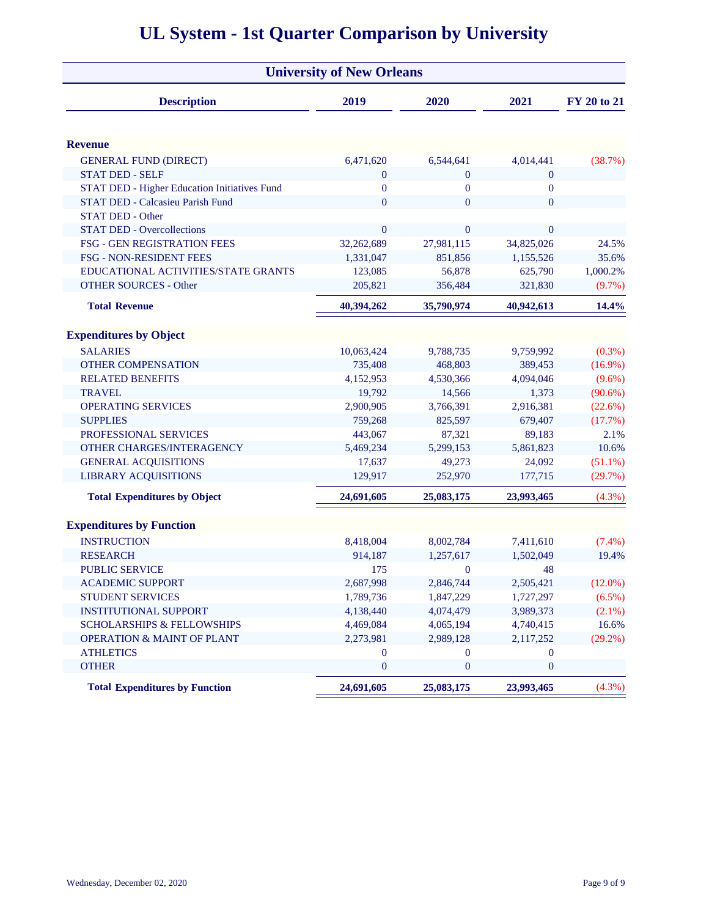|                                                     | <b>University of New Orleans</b> |                  |                  |             |
|-----------------------------------------------------|----------------------------------|------------------|------------------|-------------|
| <b>Description</b>                                  | 2019                             | 2020             | 2021             | FY 20 to 21 |
| <b>Revenue</b>                                      |                                  |                  |                  |             |
| <b>GENERAL FUND (DIRECT)</b>                        | 6,471,620                        | 6,544,641        | 4,014,441        | (38.7%)     |
| <b>STAT DED - SELF</b>                              | $\mathbf{0}$                     | $\mathbf{0}$     | $\mathbf{0}$     |             |
| <b>STAT DED - Higher Education Initiatives Fund</b> | $\bf{0}$                         | $\boldsymbol{0}$ | $\boldsymbol{0}$ |             |
| STAT DED - Calcasieu Parish Fund                    | $\overline{0}$                   | $\overline{0}$   | $\mathbf{0}$     |             |
| <b>STAT DED - Other</b>                             |                                  |                  |                  |             |
| <b>STAT DED - Overcollections</b>                   | $\overline{0}$                   | $\mathbf{0}$     | $\mathbf{0}$     |             |
| FSG - GEN REGISTRATION FEES                         | 32,262,689                       | 27,981,115       | 34,825,026       | 24.5%       |
| <b>FSG - NON-RESIDENT FEES</b>                      | 1,331,047                        | 851,856          | 1,155,526        | 35.6%       |
| EDUCATIONAL ACTIVITIES/STATE GRANTS                 | 123,085                          | 56,878           | 625,790          | 1,000.2%    |
| <b>OTHER SOURCES - Other</b>                        | 205,821                          | 356,484          | 321,830          | (9.7%)      |
| <b>Total Revenue</b>                                | 40,394,262                       | 35,790,974       | 40,942,613       | 14.4%       |
| <b>Expenditures by Object</b>                       |                                  |                  |                  |             |
| <b>SALARIES</b>                                     | 10,063,424                       | 9,788,735        | 9,759,992        | $(0.3\%)$   |
| <b>OTHER COMPENSATION</b>                           | 735,408                          | 468,803          | 389,453          | $(16.9\%)$  |
| <b>RELATED BENEFITS</b>                             | 4,152,953                        | 4,530,366        | 4,094,046        | $(9.6\%)$   |
| <b>TRAVEL</b>                                       | 19,792                           | 14,566           | 1,373            | $(90.6\%)$  |
| <b>OPERATING SERVICES</b>                           | 2,900,905                        | 3,766,391        | 2,916,381        | $(22.6\%)$  |
| <b>SUPPLIES</b>                                     | 759,268                          | 825,597          | 679,407          | (17.7%)     |
| PROFESSIONAL SERVICES                               | 443,067                          | 87,321           | 89,183           | 2.1%        |
| OTHER CHARGES/INTERAGENCY                           | 5,469,234                        | 5,299,153        | 5,861,823        | 10.6%       |
| <b>GENERAL ACQUISITIONS</b>                         | 17,637                           | 49,273           | 24,092           | $(51.1\%)$  |
| <b>LIBRARY ACQUISITIONS</b>                         | 129,917                          | 252,970          | 177,715          | (29.7%)     |
| <b>Total Expenditures by Object</b>                 | 24,691,605                       | 25,083,175       | 23,993,465       | (4.3%)      |
| <b>Expenditures by Function</b>                     |                                  |                  |                  |             |
| <b>INSTRUCTION</b>                                  | 8,418,004                        | 8,002,784        | 7,411,610        | $(7.4\%)$   |
| <b>RESEARCH</b>                                     | 914,187                          | 1,257,617        | 1,502,049        | 19.4%       |
| <b>PUBLIC SERVICE</b>                               | 175                              | $\mathbf{0}$     | 48               |             |
| <b>ACADEMIC SUPPORT</b>                             | 2,687,998                        | 2,846,744        | 2,505,421        | $(12.0\%)$  |
| <b>STUDENT SERVICES</b>                             | 1,789,736                        | 1,847,229        | 1,727,297        | $(6.5\%)$   |
| <b>INSTITUTIONAL SUPPORT</b>                        | 4,138,440                        | 4,074,479        | 3,989,373        | $(2.1\%)$   |
| <b>SCHOLARSHIPS &amp; FELLOWSHIPS</b>               | 4,469,084                        | 4,065,194        | 4,740,415        | 16.6%       |
| <b>OPERATION &amp; MAINT OF PLANT</b>               | 2,273,981                        | 2,989,128        | 2,117,252        | $(29.2\%)$  |
| <b>ATHLETICS</b>                                    | $\bf{0}$                         | $\mathbf{0}$     | $\boldsymbol{0}$ |             |
| <b>OTHER</b>                                        | $\boldsymbol{0}$                 | $\mathbf{0}$     | $\boldsymbol{0}$ |             |
| <b>Total Expenditures by Function</b>               | 24,691,605                       | 25,083,175       | 23,993,465       | (4.3%)      |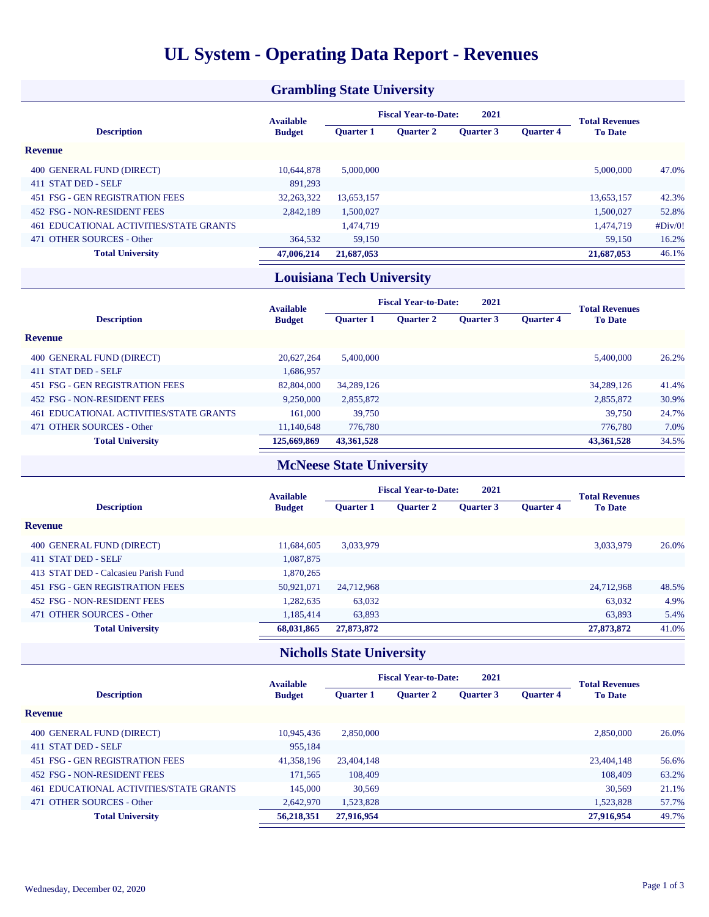### **UL System - Operating Data Report - Revenues**

#### **Grambling State University**

|                                            | <b>Available</b> | 2021<br><b>Fiscal Year-to-Date:</b> |                  |                  |                  | <b>Total Revenues</b> |         |
|--------------------------------------------|------------------|-------------------------------------|------------------|------------------|------------------|-----------------------|---------|
| <b>Description</b>                         | <b>Budget</b>    | <b>Ouarter 1</b>                    | <b>Ouarter 2</b> | <b>Ouarter 3</b> | <b>Ouarter 4</b> | <b>To Date</b>        |         |
| <b>Revenue</b>                             |                  |                                     |                  |                  |                  |                       |         |
| 400 GENERAL FUND (DIRECT)                  | 10.644.878       | 5,000,000                           |                  |                  |                  | 5,000,000             | 47.0%   |
| 411 STAT DED - SELF                        | 891,293          |                                     |                  |                  |                  |                       |         |
| 451 FSG - GEN REGISTRATION FEES            | 32,263,322       | 13.653.157                          |                  |                  |                  | 13.653.157            | 42.3%   |
| 452 FSG - NON-RESIDENT FEES                | 2.842.189        | 1.500,027                           |                  |                  |                  | 1.500.027             | 52.8%   |
| EDUCATIONAL ACTIVITIES/STATE GRANTS<br>461 |                  | 1.474.719                           |                  |                  |                  | 1.474.719             | #Div/0! |
| 471 OTHER SOURCES - Other                  | 364.532          | 59,150                              |                  |                  |                  | 59.150                | 16.2%   |
| <b>Total University</b>                    | 47,006,214       | 21,687,053                          |                  |                  |                  | 21,687,053            | 46.1%   |

### **Louisiana Tech University**

|                                         | <b>Available</b> | <b>Fiscal Year-to-Date:</b><br>2021 |                  |                  |                  | <b>Total Revenues</b> |       |
|-----------------------------------------|------------------|-------------------------------------|------------------|------------------|------------------|-----------------------|-------|
| <b>Description</b>                      | <b>Budget</b>    | <b>Ouarter 1</b>                    | <b>Ouarter 2</b> | <b>Ouarter 3</b> | <b>Ouarter 4</b> | <b>To Date</b>        |       |
| <b>Revenue</b>                          |                  |                                     |                  |                  |                  |                       |       |
| 400 GENERAL FUND (DIRECT)               | 20.627.264       | 5.400,000                           |                  |                  |                  | 5.400,000             | 26.2% |
| 411 STAT DED - SELF                     | 1,686,957        |                                     |                  |                  |                  |                       |       |
| 451 FSG - GEN REGISTRATION FEES         | 82,804,000       | 34,289,126                          |                  |                  |                  | 34,289,126            | 41.4% |
| 452 FSG - NON-RESIDENT FEES             | 9,250,000        | 2,855,872                           |                  |                  |                  | 2,855,872             | 30.9% |
| 461 EDUCATIONAL ACTIVITIES/STATE GRANTS | 161,000          | 39,750                              |                  |                  |                  | 39,750                | 24.7% |
| 471 OTHER SOURCES - Other               | 11.140.648       | 776.780                             |                  |                  |                  | 776.780               | 7.0%  |
| <b>Total University</b>                 | 125,669,869      | 43,361,528                          |                  |                  |                  | 43,361,528            | 34.5% |

### **McNeese State University**

|                                      | <b>Available</b> | 2021<br><b>Fiscal Year-to-Date:</b> |                  |                  |                  | <b>Total Revenues</b> |       |
|--------------------------------------|------------------|-------------------------------------|------------------|------------------|------------------|-----------------------|-------|
| <b>Description</b>                   | <b>Budget</b>    | <b>Ouarter 1</b>                    | <b>Ouarter 2</b> | <b>Ouarter 3</b> | <b>Ouarter 4</b> | <b>To Date</b>        |       |
| <b>Revenue</b>                       |                  |                                     |                  |                  |                  |                       |       |
| 400 GENERAL FUND (DIRECT)            | 11,684,605       | 3,033,979                           |                  |                  |                  | 3,033,979             | 26.0% |
| 411 STAT DED - SELF                  | 1,087,875        |                                     |                  |                  |                  |                       |       |
| 413 STAT DED - Calcasieu Parish Fund | 1,870,265        |                                     |                  |                  |                  |                       |       |
| 451 FSG - GEN REGISTRATION FEES      | 50,921,071       | 24,712,968                          |                  |                  |                  | 24,712,968            | 48.5% |
| 452 FSG - NON-RESIDENT FEES          | 1,282,635        | 63,032                              |                  |                  |                  | 63,032                | 4.9%  |
| 471 OTHER SOURCES - Other            | 1.185.414        | 63,893                              |                  |                  |                  | 63,893                | 5.4%  |
| <b>Total University</b>              | 68,031,865       | 27,873,872                          |                  |                  |                  | 27,873,872            | 41.0% |

### **Nicholls State University**

|                                         | <b>Available</b> | <b>Fiscal Year-to-Date:</b><br>2021 |                  |                  |                  | <b>Total Revenues</b> |       |
|-----------------------------------------|------------------|-------------------------------------|------------------|------------------|------------------|-----------------------|-------|
| <b>Description</b>                      | <b>Budget</b>    | <b>Ouarter 1</b>                    | <b>Ouarter 2</b> | <b>Ouarter 3</b> | <b>Ouarter 4</b> | <b>To Date</b>        |       |
| <b>Revenue</b>                          |                  |                                     |                  |                  |                  |                       |       |
| 400 GENERAL FUND (DIRECT)               | 10.945.436       | 2,850,000                           |                  |                  |                  | 2,850,000             | 26.0% |
| 411 STAT DED - SELF                     | 955.184          |                                     |                  |                  |                  |                       |       |
| 451 FSG - GEN REGISTRATION FEES         | 41,358,196       | 23,404,148                          |                  |                  |                  | 23,404,148            | 56.6% |
| 452 FSG - NON-RESIDENT FEES             | 171.565          | 108,409                             |                  |                  |                  | 108,409               | 63.2% |
| 461 EDUCATIONAL ACTIVITIES/STATE GRANTS | 145,000          | 30,569                              |                  |                  |                  | 30.569                | 21.1% |
| 471 OTHER SOURCES - Other               | 2,642,970        | 1,523,828                           |                  |                  |                  | 1,523,828             | 57.7% |
| <b>Total University</b>                 | 56,218,351       | 27,916,954                          |                  |                  |                  | 27,916,954            | 49.7% |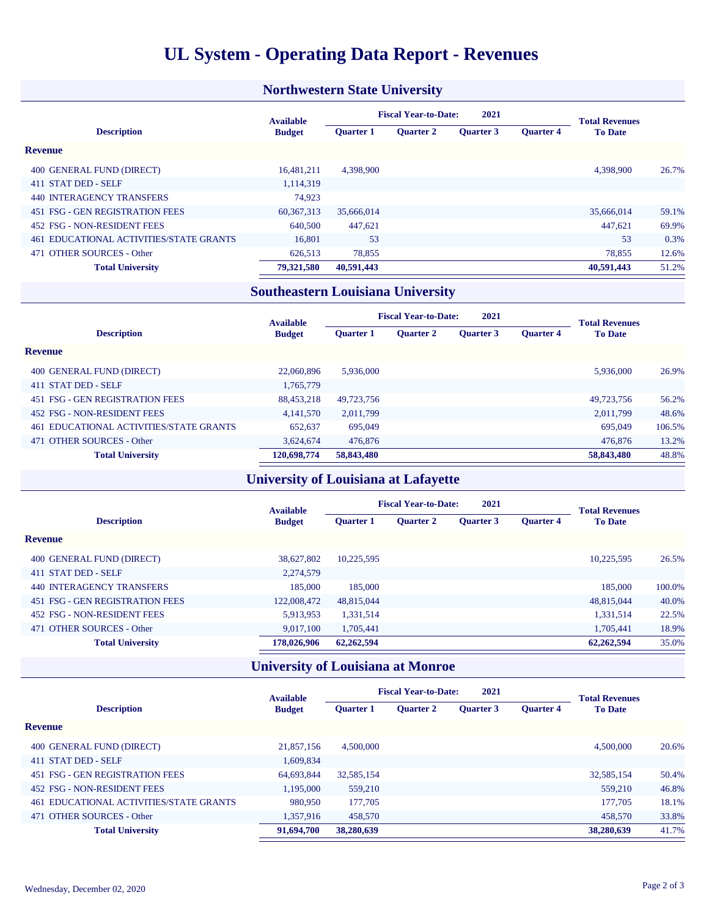### **UL System - Operating Data Report - Revenues**

#### **Northwestern State University**

|                                            | <b>Available</b> | 2021<br><b>Fiscal Year-to-Date:</b> |                  |                  |                  | <b>Total Revenues</b> |       |
|--------------------------------------------|------------------|-------------------------------------|------------------|------------------|------------------|-----------------------|-------|
| <b>Description</b>                         | <b>Budget</b>    | <b>Ouarter 1</b>                    | <b>Ouarter 2</b> | <b>Ouarter 3</b> | <b>Ouarter 4</b> | <b>To Date</b>        |       |
| <b>Revenue</b>                             |                  |                                     |                  |                  |                  |                       |       |
| 400 GENERAL FUND (DIRECT)                  | 16.481.211       | 4,398,900                           |                  |                  |                  | 4,398,900             | 26.7% |
| 411 STAT DED - SELF                        | 1.114.319        |                                     |                  |                  |                  |                       |       |
| 440 INTERAGENCY TRANSFERS                  | 74.923           |                                     |                  |                  |                  |                       |       |
| 451 FSG - GEN REGISTRATION FEES            | 60, 367, 313     | 35,666,014                          |                  |                  |                  | 35,666,014            | 59.1% |
| 452 FSG - NON-RESIDENT FEES                | 640,500          | 447,621                             |                  |                  |                  | 447.621               | 69.9% |
| EDUCATIONAL ACTIVITIES/STATE GRANTS<br>461 | 16.801           | 53                                  |                  |                  |                  | 53                    | 0.3%  |
| <b>OTHER SOURCES - Other</b><br>471        | 626,513          | 78,855                              |                  |                  |                  | 78,855                | 12.6% |
| <b>Total University</b>                    | 79,321,580       | 40,591,443                          |                  |                  |                  | 40,591,443            | 51.2% |

### **Southeastern Louisiana University**

|                                         | <b>Available</b> | <b>Fiscal Year-to-Date:</b><br>2021 |                  |                  |                  | <b>Total Revenues</b> |        |
|-----------------------------------------|------------------|-------------------------------------|------------------|------------------|------------------|-----------------------|--------|
| <b>Description</b>                      | <b>Budget</b>    | <b>Ouarter 1</b>                    | <b>Ouarter 2</b> | <b>Ouarter 3</b> | <b>Ouarter 4</b> | <b>To Date</b>        |        |
| <b>Revenue</b>                          |                  |                                     |                  |                  |                  |                       |        |
| 400 GENERAL FUND (DIRECT)               | 22,060,896       | 5.936,000                           |                  |                  |                  | 5.936,000             | 26.9%  |
| 411 STAT DED - SELF                     | 1,765,779        |                                     |                  |                  |                  |                       |        |
| 451 FSG - GEN REGISTRATION FEES         | 88.453.218       | 49.723.756                          |                  |                  |                  | 49.723.756            | 56.2%  |
| 452 FSG - NON-RESIDENT FEES             | 4,141,570        | 2.011.799                           |                  |                  |                  | 2.011.799             | 48.6%  |
| 461 EDUCATIONAL ACTIVITIES/STATE GRANTS | 652,637          | 695,049                             |                  |                  |                  | 695,049               | 106.5% |
| 471 OTHER SOURCES - Other               | 3.624,674        | 476,876                             |                  |                  |                  | 476,876               | 13.2%  |
| <b>Total University</b>                 | 120,698,774      | 58,843,480                          |                  |                  |                  | 58,843,480            | 48.8%  |

### **University of Louisiana at Lafayette**

|                                  | <b>Available</b> | 2021<br><b>Fiscal Year-to-Date:</b> |                  |                  |                  | <b>Total Revenues</b> |        |
|----------------------------------|------------------|-------------------------------------|------------------|------------------|------------------|-----------------------|--------|
| <b>Description</b>               | <b>Budget</b>    | <b>Ouarter 1</b>                    | <b>Ouarter 2</b> | <b>Ouarter 3</b> | <b>Ouarter 4</b> | <b>To Date</b>        |        |
| <b>Revenue</b>                   |                  |                                     |                  |                  |                  |                       |        |
| 400 GENERAL FUND (DIRECT)        | 38,627,802       | 10.225.595                          |                  |                  |                  | 10,225,595            | 26.5%  |
| 411 STAT DED - SELF              | 2.274.579        |                                     |                  |                  |                  |                       |        |
| <b>440 INTERAGENCY TRANSFERS</b> | 185,000          | 185,000                             |                  |                  |                  | 185,000               | 100.0% |
| 451 FSG - GEN REGISTRATION FEES  | 122,008,472      | 48,815,044                          |                  |                  |                  | 48,815,044            | 40.0%  |
| 452 FSG - NON-RESIDENT FEES      | 5,913,953        | 1,331,514                           |                  |                  |                  | 1.331.514             | 22.5%  |
| 471 OTHER SOURCES - Other        | 9,017,100        | 1.705.441                           |                  |                  |                  | 1.705.441             | 18.9%  |
| <b>Total University</b>          | 178,026,906      | 62,262,594                          |                  |                  |                  | 62,262,594            | 35.0%  |

### **University of Louisiana at Monroe**

|                                            | <b>Available</b> | <b>Fiscal Year-to-Date:</b><br>2021 |                  |                  |                  | <b>Total Revenues</b> |       |
|--------------------------------------------|------------------|-------------------------------------|------------------|------------------|------------------|-----------------------|-------|
| <b>Description</b>                         | <b>Budget</b>    | <b>Ouarter 1</b>                    | <b>Ouarter 2</b> | <b>Ouarter 3</b> | <b>Ouarter 4</b> | <b>To Date</b>        |       |
| <b>Revenue</b>                             |                  |                                     |                  |                  |                  |                       |       |
| 400 GENERAL FUND (DIRECT)                  | 21,857,156       | 4,500,000                           |                  |                  |                  | 4,500,000             | 20.6% |
| 411 STAT DED - SELF                        | 1.609.834        |                                     |                  |                  |                  |                       |       |
| 451 FSG - GEN REGISTRATION FEES            | 64,693,844       | 32.585.154                          |                  |                  |                  | 32,585,154            | 50.4% |
| 452 FSG - NON-RESIDENT FEES                | 1.195.000        | 559,210                             |                  |                  |                  | 559,210               | 46.8% |
| EDUCATIONAL ACTIVITIES/STATE GRANTS<br>461 | 980,950          | 177,705                             |                  |                  |                  | 177,705               | 18.1% |
| 471 OTHER SOURCES - Other                  | 1,357,916        | 458,570                             |                  |                  |                  | 458,570               | 33.8% |
| <b>Total University</b>                    | 91,694,700       | 38,280,639                          |                  |                  |                  | 38,280,639            | 41.7% |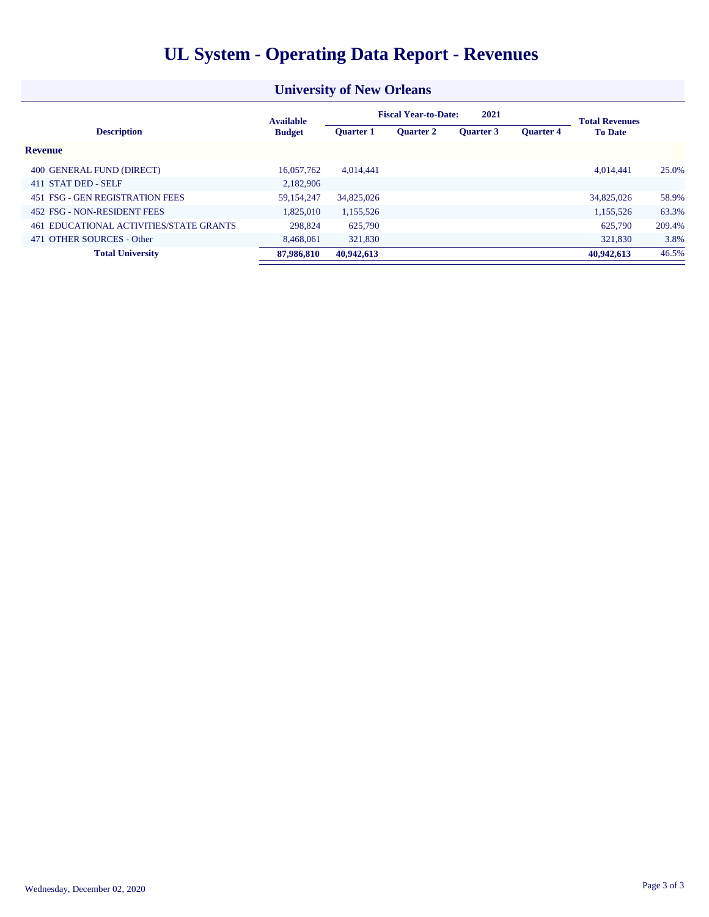|  | <b>UL System - Operating Data Report - Revenues</b> |  |
|--|-----------------------------------------------------|--|
|  |                                                     |  |

| <b>University of New Orleans</b>        |                  |                                     |                  |                  |                  |                       |        |  |
|-----------------------------------------|------------------|-------------------------------------|------------------|------------------|------------------|-----------------------|--------|--|
|                                         | <b>Available</b> | <b>Fiscal Year-to-Date:</b><br>2021 |                  |                  |                  | <b>Total Revenues</b> |        |  |
| <b>Description</b>                      | <b>Budget</b>    | <b>Ouarter 1</b>                    | <b>Ouarter 2</b> | <b>Ouarter 3</b> | <b>Ouarter 4</b> | <b>To Date</b>        |        |  |
| <b>Revenue</b>                          |                  |                                     |                  |                  |                  |                       |        |  |
| 400 GENERAL FUND (DIRECT)               | 16,057,762       | 4.014.441                           |                  |                  |                  | 4.014.441             | 25.0%  |  |
| 411 STAT DED - SELF                     | 2,182,906        |                                     |                  |                  |                  |                       |        |  |
| 451 FSG - GEN REGISTRATION FEES         | 59,154,247       | 34,825,026                          |                  |                  |                  | 34,825,026            | 58.9%  |  |
| 452 FSG - NON-RESIDENT FEES             | 1,825,010        | 1,155,526                           |                  |                  |                  | 1,155,526             | 63.3%  |  |
| 461 EDUCATIONAL ACTIVITIES/STATE GRANTS | 298,824          | 625,790                             |                  |                  |                  | 625,790               | 209.4% |  |
| <b>OTHER SOURCES - Other</b><br>471     | 8,468,061        | 321,830                             |                  |                  |                  | 321,830               | 3.8%   |  |
| <b>Total University</b>                 | 87,986,810       | 40,942,613                          |                  |                  |                  | 40.942.613            | 46.5%  |  |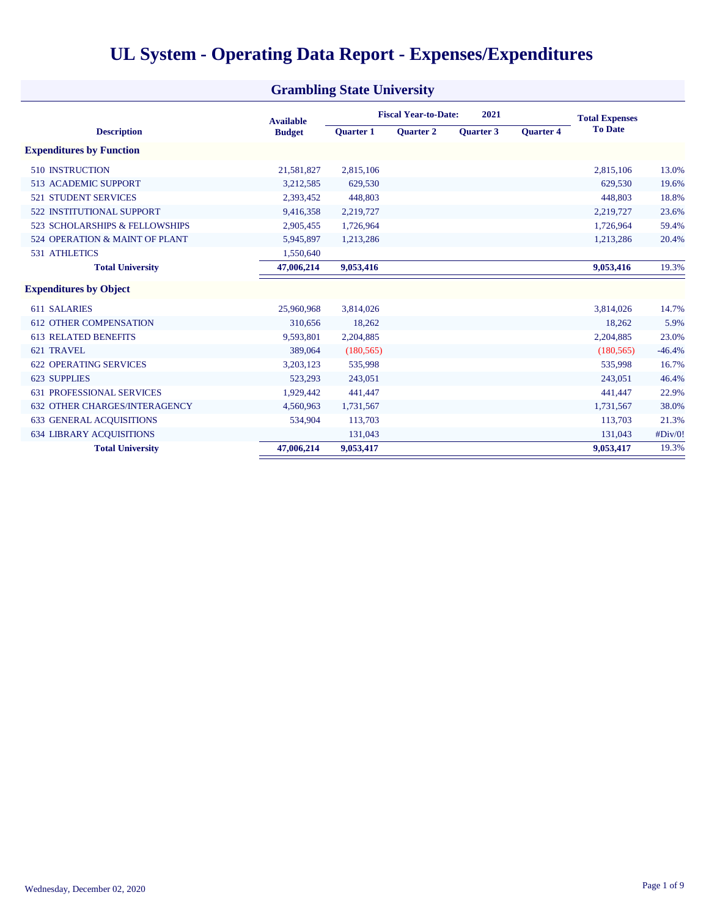|                                      | <b>Grambling State University</b> |                  |                             |                       |                  |                |          |
|--------------------------------------|-----------------------------------|------------------|-----------------------------|-----------------------|------------------|----------------|----------|
|                                      | <b>Available</b>                  |                  | <b>Fiscal Year-to-Date:</b> | <b>Total Expenses</b> |                  |                |          |
| <b>Description</b>                   | <b>Budget</b>                     | <b>Ouarter 1</b> | <b>Ouarter 2</b>            | <b>Ouarter 3</b>      | <b>Ouarter 4</b> | <b>To Date</b> |          |
| <b>Expenditures by Function</b>      |                                   |                  |                             |                       |                  |                |          |
| <b>510 INSTRUCTION</b>               | 21,581,827                        | 2,815,106        |                             |                       |                  | 2,815,106      | 13.0%    |
| <b>513 ACADEMIC SUPPORT</b>          | 3,212,585                         | 629,530          |                             |                       |                  | 629.530        | 19.6%    |
| <b>521 STUDENT SERVICES</b>          | 2,393,452                         | 448,803          |                             |                       |                  | 448,803        | 18.8%    |
| 522 INSTITUTIONAL SUPPORT            | 9,416,358                         | 2,219,727        |                             |                       |                  | 2,219,727      | 23.6%    |
| 523 SCHOLARSHIPS & FELLOWSHIPS       | 2,905,455                         | 1,726,964        |                             |                       |                  | 1,726,964      | 59.4%    |
| 524 OPERATION & MAINT OF PLANT       | 5,945,897                         | 1,213,286        |                             |                       |                  | 1,213,286      | 20.4%    |
| <b>531 ATHLETICS</b>                 | 1,550,640                         |                  |                             |                       |                  |                |          |
| <b>Total University</b>              | 47,006,214                        | 9,053,416        |                             |                       |                  | 9,053,416      | 19.3%    |
| <b>Expenditures by Object</b>        |                                   |                  |                             |                       |                  |                |          |
| 611 SALARIES                         | 25,960,968                        | 3,814,026        |                             |                       |                  | 3,814,026      | 14.7%    |
| <b>612 OTHER COMPENSATION</b>        | 310,656                           | 18,262           |                             |                       |                  | 18,262         | 5.9%     |
| <b>613 RELATED BENEFITS</b>          | 9,593,801                         | 2,204,885        |                             |                       |                  | 2,204,885      | 23.0%    |
| 621 TRAVEL                           | 389,064                           | (180, 565)       |                             |                       |                  | (180, 565)     | $-46.4%$ |
| <b>622 OPERATING SERVICES</b>        | 3,203,123                         | 535,998          |                             |                       |                  | 535,998        | 16.7%    |
| 623 SUPPLIES                         | 523,293                           | 243,051          |                             |                       |                  | 243,051        | 46.4%    |
| <b>631 PROFESSIONAL SERVICES</b>     | 1,929,442                         | 441,447          |                             |                       |                  | 441,447        | 22.9%    |
| <b>632 OTHER CHARGES/INTERAGENCY</b> | 4,560,963                         | 1,731,567        |                             |                       |                  | 1,731,567      | 38.0%    |
| <b>633 GENERAL ACOUISITIONS</b>      | 534,904                           | 113,703          |                             |                       |                  | 113,703        | 21.3%    |
| <b>634 LIBRARY ACOUISITIONS</b>      |                                   | 131,043          |                             |                       |                  | 131,043        | #Div/0!  |
| <b>Total University</b>              | 47,006,214                        | 9,053,417        |                             |                       |                  | 9,053,417      | 19.3%    |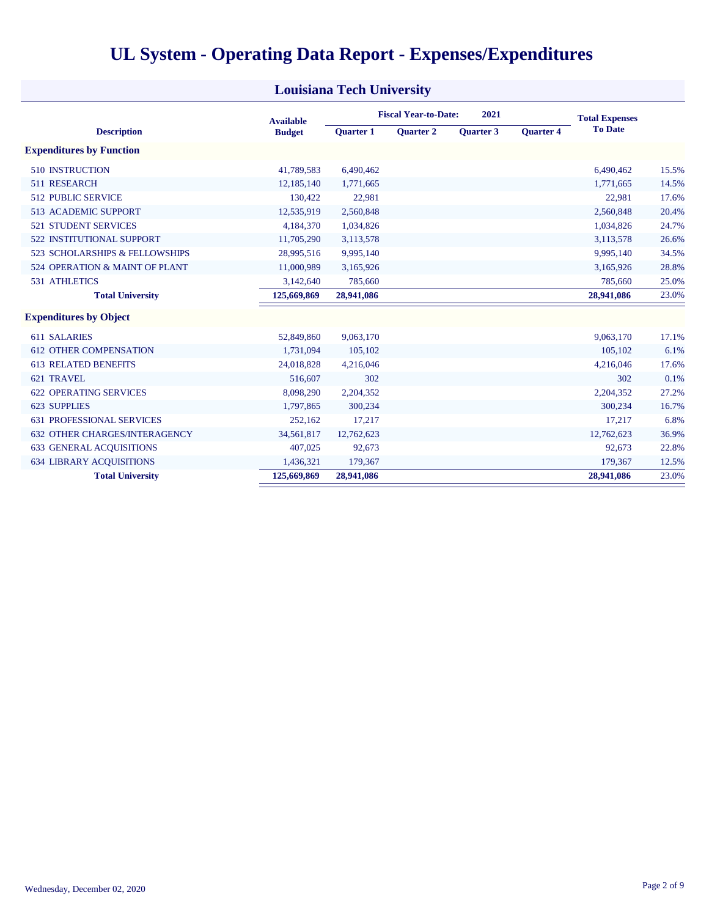| UL System - Operating Data Report - Expenses/Expenditures |  |
|-----------------------------------------------------------|--|
|-----------------------------------------------------------|--|

| <b>Louisiana Tech University</b>     |                  |                  |                             |                  |                       |                |       |  |  |
|--------------------------------------|------------------|------------------|-----------------------------|------------------|-----------------------|----------------|-------|--|--|
|                                      | <b>Available</b> |                  | <b>Fiscal Year-to-Date:</b> |                  | <b>Total Expenses</b> |                |       |  |  |
| <b>Description</b>                   | <b>Budget</b>    | <b>Ouarter 1</b> | <b>Ouarter 2</b>            | <b>Ouarter 3</b> | <b>Ouarter 4</b>      | <b>To Date</b> |       |  |  |
| <b>Expenditures by Function</b>      |                  |                  |                             |                  |                       |                |       |  |  |
| <b>510 INSTRUCTION</b>               | 41,789,583       | 6,490,462        |                             |                  |                       | 6,490,462      | 15.5% |  |  |
| 511 RESEARCH                         | 12,185,140       | 1,771,665        |                             |                  |                       | 1,771,665      | 14.5% |  |  |
| <b>512 PUBLIC SERVICE</b>            | 130,422          | 22,981           |                             |                  |                       | 22,981         | 17.6% |  |  |
| <b>513 ACADEMIC SUPPORT</b>          | 12,535,919       | 2,560,848        |                             |                  |                       | 2,560,848      | 20.4% |  |  |
| <b>521 STUDENT SERVICES</b>          | 4,184,370        | 1,034,826        |                             |                  |                       | 1,034,826      | 24.7% |  |  |
| <b>522 INSTITUTIONAL SUPPORT</b>     | 11,705,290       | 3,113,578        |                             |                  |                       | 3,113,578      | 26.6% |  |  |
| 523 SCHOLARSHIPS & FELLOWSHIPS       | 28,995,516       | 9,995,140        |                             |                  |                       | 9,995,140      | 34.5% |  |  |
| 524 OPERATION & MAINT OF PLANT       | 11,000,989       | 3,165,926        |                             |                  |                       | 3,165,926      | 28.8% |  |  |
| <b>531 ATHLETICS</b>                 | 3,142,640        | 785,660          |                             |                  |                       | 785,660        | 25.0% |  |  |
| <b>Total University</b>              | 125,669,869      | 28,941,086       |                             |                  |                       | 28,941,086     | 23.0% |  |  |
| <b>Expenditures by Object</b>        |                  |                  |                             |                  |                       |                |       |  |  |
| 611 SALARIES                         | 52,849,860       | 9,063,170        |                             |                  |                       | 9,063,170      | 17.1% |  |  |
| <b>612 OTHER COMPENSATION</b>        | 1,731,094        | 105,102          |                             |                  |                       | 105,102        | 6.1%  |  |  |
| <b>613 RELATED BENEFITS</b>          | 24,018,828       | 4,216,046        |                             |                  |                       | 4,216,046      | 17.6% |  |  |
| 621 TRAVEL                           | 516,607          | 302              |                             |                  |                       | 302            | 0.1%  |  |  |
| <b>622 OPERATING SERVICES</b>        | 8,098,290        | 2,204,352        |                             |                  |                       | 2,204,352      | 27.2% |  |  |
| 623 SUPPLIES                         | 1,797,865        | 300,234          |                             |                  |                       | 300,234        | 16.7% |  |  |
| <b>631 PROFESSIONAL SERVICES</b>     | 252,162          | 17,217           |                             |                  |                       | 17,217         | 6.8%  |  |  |
| <b>632 OTHER CHARGES/INTERAGENCY</b> | 34,561,817       | 12,762,623       |                             |                  |                       | 12,762,623     | 36.9% |  |  |
| <b>633 GENERAL ACOUISITIONS</b>      | 407,025          | 92,673           |                             |                  |                       | 92,673         | 22.8% |  |  |
| <b>634 LIBRARY ACOUISITIONS</b>      | 1,436,321        | 179,367          |                             |                  |                       | 179,367        | 12.5% |  |  |
| <b>Total University</b>              | 125,669,869      | 28,941,086       |                             |                  |                       | 28,941,086     | 23.0% |  |  |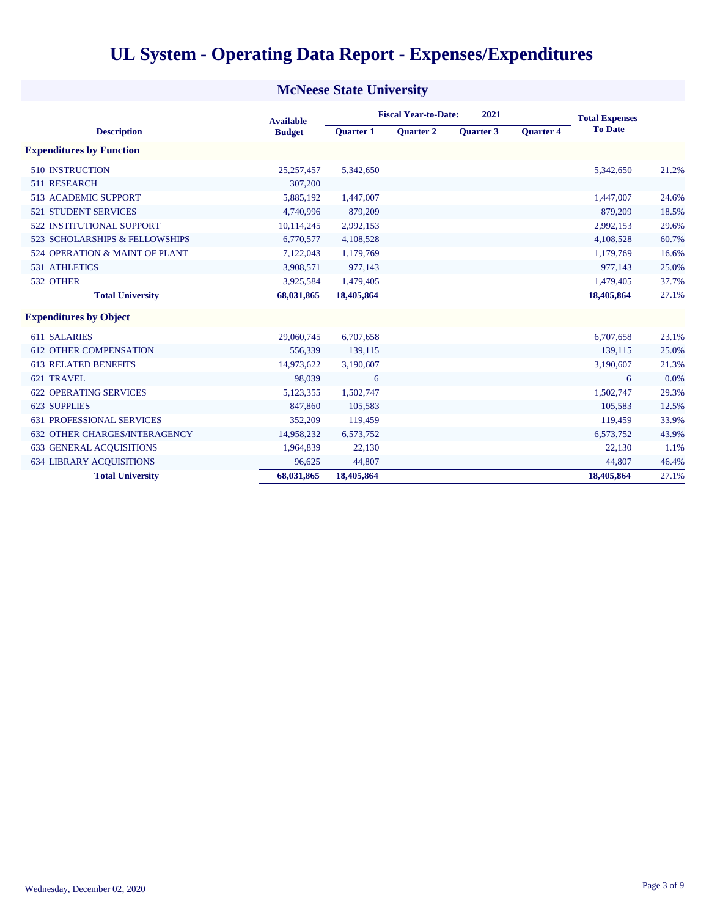|  |  | <b>UL System - Operating Data Report - Expenses/Expenditures</b> |
|--|--|------------------------------------------------------------------|
|  |  |                                                                  |

| <b>McNeese State University</b>      |                  |                  |                             |                       |                  |                |       |  |  |
|--------------------------------------|------------------|------------------|-----------------------------|-----------------------|------------------|----------------|-------|--|--|
|                                      | <b>Available</b> |                  | <b>Fiscal Year-to-Date:</b> | <b>Total Expenses</b> |                  |                |       |  |  |
| <b>Description</b>                   | <b>Budget</b>    | <b>Quarter 1</b> | <b>Ouarter 2</b>            | Quarter 3             | <b>Ouarter 4</b> | <b>To Date</b> |       |  |  |
| <b>Expenditures by Function</b>      |                  |                  |                             |                       |                  |                |       |  |  |
| <b>510 INSTRUCTION</b>               | 25, 257, 457     | 5,342,650        |                             |                       |                  | 5,342,650      | 21.2% |  |  |
| 511 RESEARCH                         | 307,200          |                  |                             |                       |                  |                |       |  |  |
| <b>513 ACADEMIC SUPPORT</b>          | 5,885,192        | 1,447,007        |                             |                       |                  | 1,447,007      | 24.6% |  |  |
| <b>521 STUDENT SERVICES</b>          | 4,740,996        | 879,209          |                             |                       |                  | 879,209        | 18.5% |  |  |
| <b>522 INSTITUTIONAL SUPPORT</b>     | 10,114,245       | 2,992,153        |                             |                       |                  | 2,992,153      | 29.6% |  |  |
| 523 SCHOLARSHIPS & FELLOWSHIPS       | 6,770,577        | 4,108,528        |                             |                       |                  | 4,108,528      | 60.7% |  |  |
| 524 OPERATION & MAINT OF PLANT       | 7,122,043        | 1,179,769        |                             |                       |                  | 1,179,769      | 16.6% |  |  |
| <b>531 ATHLETICS</b>                 | 3,908,571        | 977,143          |                             |                       |                  | 977,143        | 25.0% |  |  |
| 532 OTHER                            | 3,925,584        | 1,479,405        |                             |                       |                  | 1,479,405      | 37.7% |  |  |
| <b>Total University</b>              | 68,031,865       | 18,405,864       |                             |                       |                  | 18,405,864     | 27.1% |  |  |
| <b>Expenditures by Object</b>        |                  |                  |                             |                       |                  |                |       |  |  |
| 611 SALARIES                         | 29,060,745       | 6,707,658        |                             |                       |                  | 6,707,658      | 23.1% |  |  |
| <b>612 OTHER COMPENSATION</b>        | 556,339          | 139,115          |                             |                       |                  | 139,115        | 25.0% |  |  |
| <b>613 RELATED BENEFITS</b>          | 14,973,622       | 3,190,607        |                             |                       |                  | 3,190,607      | 21.3% |  |  |
| 621 TRAVEL                           | 98,039           | 6                |                             |                       |                  | 6              | 0.0%  |  |  |
| <b>622 OPERATING SERVICES</b>        | 5,123,355        | 1,502,747        |                             |                       |                  | 1,502,747      | 29.3% |  |  |
| <b>623 SUPPLIES</b>                  | 847,860          | 105,583          |                             |                       |                  | 105,583        | 12.5% |  |  |
| <b>631 PROFESSIONAL SERVICES</b>     | 352,209          | 119,459          |                             |                       |                  | 119,459        | 33.9% |  |  |
| <b>632 OTHER CHARGES/INTERAGENCY</b> | 14,958,232       | 6,573,752        |                             |                       |                  | 6,573,752      | 43.9% |  |  |
| <b>633 GENERAL ACQUISITIONS</b>      | 1,964,839        | 22,130           |                             |                       |                  | 22,130         | 1.1%  |  |  |
| <b>634 LIBRARY ACOUISITIONS</b>      | 96,625           | 44,807           |                             |                       |                  | 44,807         | 46.4% |  |  |
| <b>Total University</b>              | 68,031,865       | 18,405,864       |                             |                       |                  | 18,405,864     | 27.1% |  |  |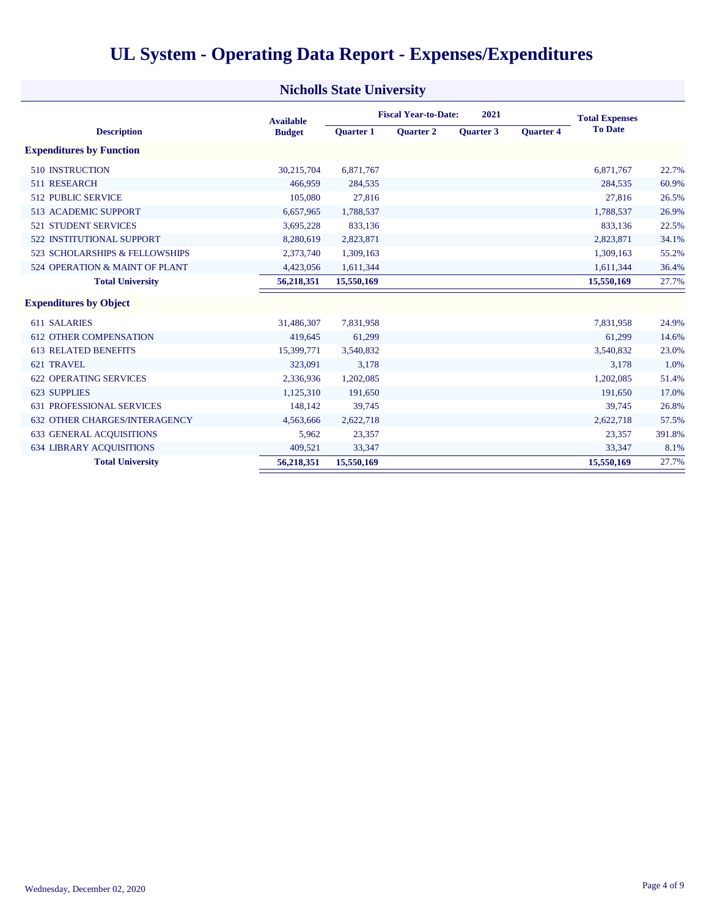|  |  | <b>UL System - Operating Data Report - Expenses/Expenditures</b> |  |
|--|--|------------------------------------------------------------------|--|
|  |  |                                                                  |  |

| <b>Nicholls State University</b>     |                  |                  |                             |                       |                  |                |        |  |  |
|--------------------------------------|------------------|------------------|-----------------------------|-----------------------|------------------|----------------|--------|--|--|
|                                      | <b>Available</b> |                  | <b>Fiscal Year-to-Date:</b> | <b>Total Expenses</b> |                  |                |        |  |  |
| <b>Description</b>                   | <b>Budget</b>    | <b>Ouarter 1</b> | <b>Ouarter 2</b>            | <b>Ouarter 3</b>      | <b>Quarter 4</b> | <b>To Date</b> |        |  |  |
| <b>Expenditures by Function</b>      |                  |                  |                             |                       |                  |                |        |  |  |
| <b>510 INSTRUCTION</b>               | 30,215,704       | 6,871,767        |                             |                       |                  | 6,871,767      | 22.7%  |  |  |
| 511 RESEARCH                         | 466,959          | 284,535          |                             |                       |                  | 284,535        | 60.9%  |  |  |
| <b>512 PUBLIC SERVICE</b>            | 105,080          | 27,816           |                             |                       |                  | 27,816         | 26.5%  |  |  |
| <b>513 ACADEMIC SUPPORT</b>          | 6,657,965        | 1,788,537        |                             |                       |                  | 1,788,537      | 26.9%  |  |  |
| <b>521 STUDENT SERVICES</b>          | 3,695,228        | 833,136          |                             |                       |                  | 833,136        | 22.5%  |  |  |
| <b>522 INSTITUTIONAL SUPPORT</b>     | 8,280,619        | 2,823,871        |                             |                       |                  | 2,823,871      | 34.1%  |  |  |
| 523 SCHOLARSHIPS & FELLOWSHIPS       | 2,373,740        | 1,309,163        |                             |                       |                  | 1,309,163      | 55.2%  |  |  |
| 524 OPERATION & MAINT OF PLANT       | 4,423,056        | 1,611,344        |                             |                       |                  | 1,611,344      | 36.4%  |  |  |
| <b>Total University</b>              | 56,218,351       | 15,550,169       |                             |                       |                  | 15,550,169     | 27.7%  |  |  |
| <b>Expenditures by Object</b>        |                  |                  |                             |                       |                  |                |        |  |  |
| 611 SALARIES                         | 31,486,307       | 7,831,958        |                             |                       |                  | 7,831,958      | 24.9%  |  |  |
| <b>612 OTHER COMPENSATION</b>        | 419,645          | 61,299           |                             |                       |                  | 61,299         | 14.6%  |  |  |
| <b>613 RELATED BENEFITS</b>          | 15,399,771       | 3,540,832        |                             |                       |                  | 3,540,832      | 23.0%  |  |  |
| 621 TRAVEL                           | 323,091          | 3,178            |                             |                       |                  | 3,178          | 1.0%   |  |  |
| <b>622 OPERATING SERVICES</b>        | 2,336,936        | 1,202,085        |                             |                       |                  | 1,202,085      | 51.4%  |  |  |
| 623 SUPPLIES                         | 1,125,310        | 191,650          |                             |                       |                  | 191,650        | 17.0%  |  |  |
| <b>631 PROFESSIONAL SERVICES</b>     | 148,142          | 39,745           |                             |                       |                  | 39.745         | 26.8%  |  |  |
| <b>632 OTHER CHARGES/INTERAGENCY</b> | 4,563,666        | 2,622,718        |                             |                       |                  | 2,622,718      | 57.5%  |  |  |
| <b>633 GENERAL ACOUISITIONS</b>      | 5,962            | 23,357           |                             |                       |                  | 23,357         | 391.8% |  |  |
| <b>634 LIBRARY ACQUISITIONS</b>      | 409,521          | 33,347           |                             |                       |                  | 33.347         | 8.1%   |  |  |
| <b>Total University</b>              | 56,218,351       | 15,550,169       |                             |                       |                  | 15,550,169     | 27.7%  |  |  |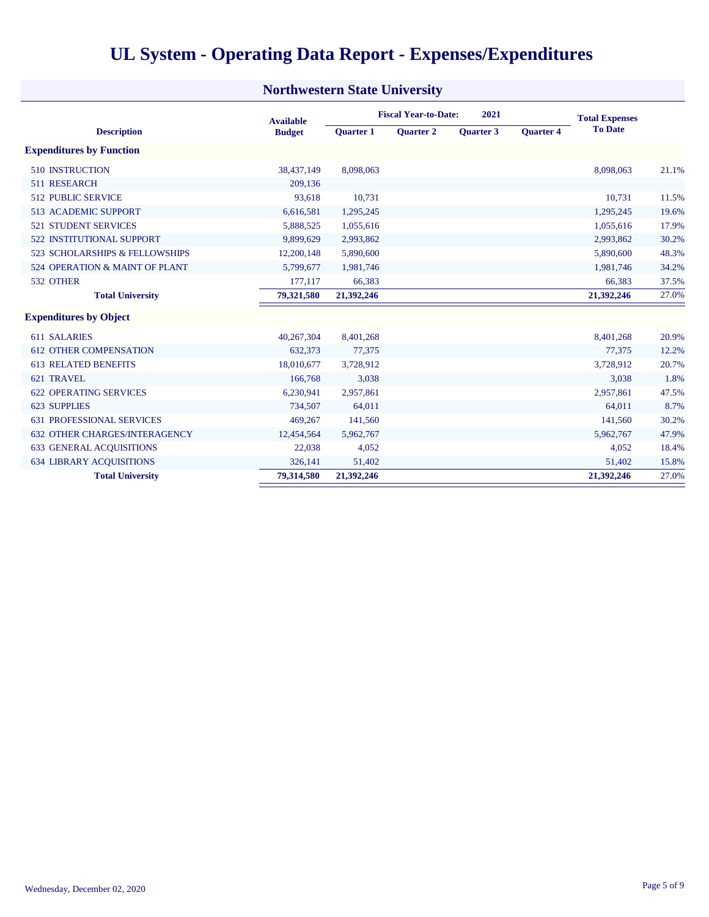|  |  |  |  |  | <b>UL System - Operating Data Report - Expenses/Expenditures</b> |
|--|--|--|--|--|------------------------------------------------------------------|
|--|--|--|--|--|------------------------------------------------------------------|

| <b>Northwestern State University</b> |                  |                                     |                  |                  |                  |                       |       |  |  |
|--------------------------------------|------------------|-------------------------------------|------------------|------------------|------------------|-----------------------|-------|--|--|
|                                      | <b>Available</b> | <b>Fiscal Year-to-Date:</b><br>2021 |                  |                  |                  | <b>Total Expenses</b> |       |  |  |
| <b>Description</b>                   | <b>Budget</b>    | <b>Ouarter 1</b>                    | <b>Ouarter 2</b> | <b>Ouarter 3</b> | <b>Ouarter 4</b> | <b>To Date</b>        |       |  |  |
| <b>Expenditures by Function</b>      |                  |                                     |                  |                  |                  |                       |       |  |  |
| <b>510 INSTRUCTION</b>               | 38,437,149       | 8,098,063                           |                  |                  |                  | 8,098,063             | 21.1% |  |  |
| 511 RESEARCH                         | 209,136          |                                     |                  |                  |                  |                       |       |  |  |
| <b>512 PUBLIC SERVICE</b>            | 93,618           | 10,731                              |                  |                  |                  | 10,731                | 11.5% |  |  |
| <b>513 ACADEMIC SUPPORT</b>          | 6,616,581        | 1,295,245                           |                  |                  |                  | 1,295,245             | 19.6% |  |  |
| <b>521 STUDENT SERVICES</b>          | 5,888,525        | 1,055,616                           |                  |                  |                  | 1,055,616             | 17.9% |  |  |
| 522 INSTITUTIONAL SUPPORT            | 9,899,629        | 2,993,862                           |                  |                  |                  | 2,993,862             | 30.2% |  |  |
| 523 SCHOLARSHIPS & FELLOWSHIPS       | 12,200,148       | 5,890,600                           |                  |                  |                  | 5,890,600             | 48.3% |  |  |
| 524 OPERATION & MAINT OF PLANT       | 5,799,677        | 1,981,746                           |                  |                  |                  | 1,981,746             | 34.2% |  |  |
| 532 OTHER                            | 177,117          | 66,383                              |                  |                  |                  | 66,383                | 37.5% |  |  |
| <b>Total University</b>              | 79,321,580       | 21,392,246                          |                  |                  |                  | 21,392,246            | 27.0% |  |  |
| <b>Expenditures by Object</b>        |                  |                                     |                  |                  |                  |                       |       |  |  |
| <b>611 SALARIES</b>                  | 40,267,304       | 8,401,268                           |                  |                  |                  | 8,401,268             | 20.9% |  |  |
| <b>612 OTHER COMPENSATION</b>        | 632,373          | 77,375                              |                  |                  |                  | 77,375                | 12.2% |  |  |
| <b>613 RELATED BENEFITS</b>          | 18,010,677       | 3,728,912                           |                  |                  |                  | 3,728,912             | 20.7% |  |  |
| 621 TRAVEL                           | 166,768          | 3,038                               |                  |                  |                  | 3,038                 | 1.8%  |  |  |
| <b>622 OPERATING SERVICES</b>        | 6,230,941        | 2,957,861                           |                  |                  |                  | 2,957,861             | 47.5% |  |  |
| <b>623 SUPPLIES</b>                  | 734,507          | 64,011                              |                  |                  |                  | 64,011                | 8.7%  |  |  |
| <b>631 PROFESSIONAL SERVICES</b>     | 469,267          | 141,560                             |                  |                  |                  | 141,560               | 30.2% |  |  |
| <b>632 OTHER CHARGES/INTERAGENCY</b> | 12,454,564       | 5,962,767                           |                  |                  |                  | 5,962,767             | 47.9% |  |  |
| <b>633 GENERAL ACOUISITIONS</b>      | 22,038           | 4,052                               |                  |                  |                  | 4,052                 | 18.4% |  |  |
| <b>634 LIBRARY ACOUISITIONS</b>      | 326,141          | 51,402                              |                  |                  |                  | 51,402                | 15.8% |  |  |
| <b>Total University</b>              | 79,314,580       | 21,392,246                          |                  |                  |                  | 21,392,246            | 27.0% |  |  |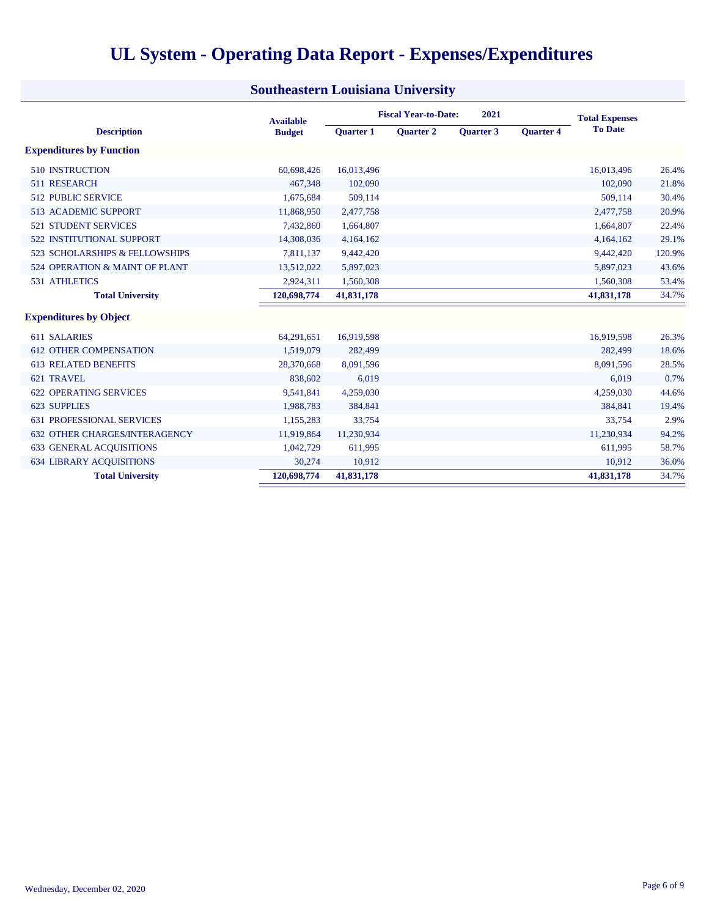|                                      | <b>Available</b> |                  | <b>Fiscal Year-to-Date:</b> | 2021      |                  | <b>Total Expenses</b> |        |
|--------------------------------------|------------------|------------------|-----------------------------|-----------|------------------|-----------------------|--------|
| <b>Description</b>                   | <b>Budget</b>    | <b>Ouarter 1</b> | <b>Ouarter 2</b>            | Quarter 3 | <b>Ouarter 4</b> | <b>To Date</b>        |        |
| <b>Expenditures by Function</b>      |                  |                  |                             |           |                  |                       |        |
| <b>510 INSTRUCTION</b>               | 60,698,426       | 16,013,496       |                             |           |                  | 16,013,496            | 26.4%  |
| 511 RESEARCH                         | 467,348          | 102,090          |                             |           |                  | 102,090               | 21.8%  |
| <b>512 PUBLIC SERVICE</b>            | 1,675,684        | 509,114          |                             |           |                  | 509,114               | 30.4%  |
| <b>513 ACADEMIC SUPPORT</b>          | 11,868,950       | 2,477,758        |                             |           |                  | 2,477,758             | 20.9%  |
| <b>521 STUDENT SERVICES</b>          | 7,432,860        | 1,664,807        |                             |           |                  | 1,664,807             | 22.4%  |
| <b>522 INSTITUTIONAL SUPPORT</b>     | 14,308,036       | 4,164,162        |                             |           |                  | 4,164,162             | 29.1%  |
| 523 SCHOLARSHIPS & FELLOWSHIPS       | 7,811,137        | 9,442,420        |                             |           |                  | 9,442,420             | 120.9% |
| 524 OPERATION & MAINT OF PLANT       | 13,512,022       | 5,897,023        |                             |           |                  | 5,897,023             | 43.6%  |
| 531 ATHLETICS                        | 2,924,311        | 1,560,308        |                             |           |                  | 1,560,308             | 53.4%  |
| <b>Total University</b>              | 120,698,774      | 41,831,178       |                             |           |                  | 41,831,178            | 34.7%  |
| <b>Expenditures by Object</b>        |                  |                  |                             |           |                  |                       |        |
| <b>611 SALARIES</b>                  | 64,291,651       | 16,919,598       |                             |           |                  | 16,919,598            | 26.3%  |
| <b>612 OTHER COMPENSATION</b>        | 1,519,079        | 282,499          |                             |           |                  | 282,499               | 18.6%  |
| <b>613 RELATED BENEFITS</b>          | 28,370,668       | 8,091,596        |                             |           |                  | 8,091,596             | 28.5%  |
| 621 TRAVEL                           | 838,602          | 6,019            |                             |           |                  | 6,019                 | 0.7%   |
| <b>622 OPERATING SERVICES</b>        | 9,541,841        | 4,259,030        |                             |           |                  | 4,259,030             | 44.6%  |
| 623 SUPPLIES                         | 1,988,783        | 384,841          |                             |           |                  | 384,841               | 19.4%  |
| <b>631 PROFESSIONAL SERVICES</b>     | 1,155,283        | 33,754           |                             |           |                  | 33,754                | 2.9%   |
| <b>632 OTHER CHARGES/INTERAGENCY</b> | 11,919,864       | 11,230,934       |                             |           |                  | 11,230,934            | 94.2%  |
| <b>633 GENERAL ACOUISITIONS</b>      | 1,042,729        | 611,995          |                             |           |                  | 611,995               | 58.7%  |
| <b>634 LIBRARY ACOUISITIONS</b>      | 30,274           | 10,912           |                             |           |                  | 10,912                | 36.0%  |
| <b>Total University</b>              | 120,698,774      | 41,831,178       |                             |           |                  | 41,831,178            | 34.7%  |

#### **Southeastern Louisiana University**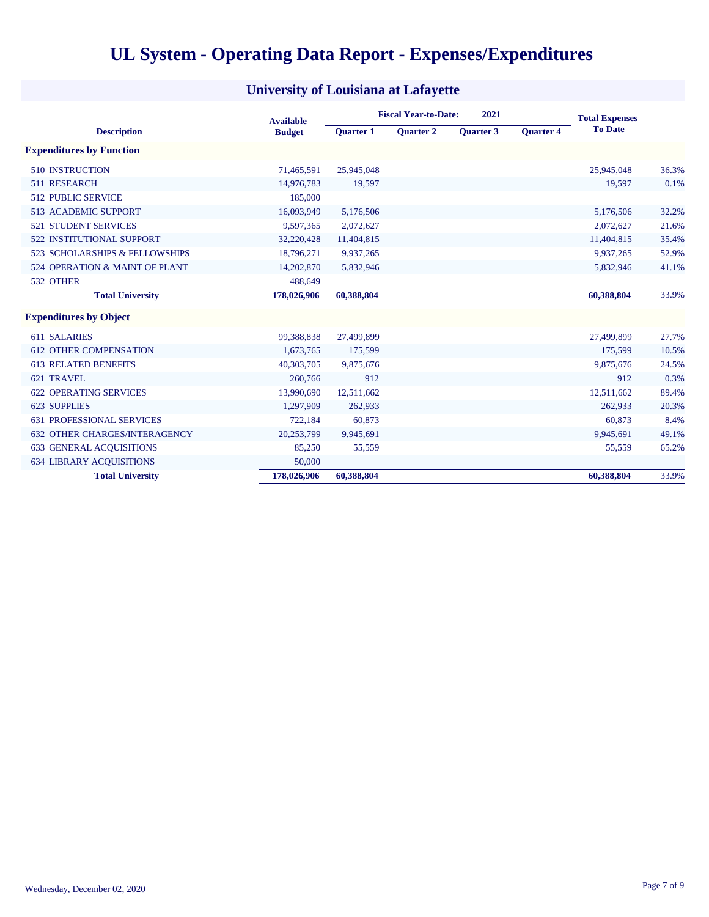|                                      | <b>Available</b> | <b>Fiscal Year-to-Date:</b><br>2021 |                  |                  |                  | <b>Total Expenses</b> |       |
|--------------------------------------|------------------|-------------------------------------|------------------|------------------|------------------|-----------------------|-------|
| <b>Description</b>                   | <b>Budget</b>    | <b>Ouarter 1</b>                    | <b>Ouarter 2</b> | <b>Ouarter 3</b> | <b>Ouarter 4</b> | <b>To Date</b>        |       |
| <b>Expenditures by Function</b>      |                  |                                     |                  |                  |                  |                       |       |
| <b>510 INSTRUCTION</b>               | 71,465,591       | 25,945,048                          |                  |                  |                  | 25,945,048            | 36.3% |
| 511 RESEARCH                         | 14,976,783       | 19,597                              |                  |                  |                  | 19,597                | 0.1%  |
| <b>512 PUBLIC SERVICE</b>            | 185,000          |                                     |                  |                  |                  |                       |       |
| <b>513 ACADEMIC SUPPORT</b>          | 16,093,949       | 5,176,506                           |                  |                  |                  | 5,176,506             | 32.2% |
| <b>521 STUDENT SERVICES</b>          | 9,597,365        | 2,072,627                           |                  |                  |                  | 2,072,627             | 21.6% |
| <b>522 INSTITUTIONAL SUPPORT</b>     | 32,220,428       | 11,404,815                          |                  |                  |                  | 11,404,815            | 35.4% |
| 523 SCHOLARSHIPS & FELLOWSHIPS       | 18,796,271       | 9,937,265                           |                  |                  |                  | 9,937,265             | 52.9% |
| 524 OPERATION & MAINT OF PLANT       | 14,202,870       | 5,832,946                           |                  |                  |                  | 5,832,946             | 41.1% |
| 532 OTHER                            | 488,649          |                                     |                  |                  |                  |                       |       |
| <b>Total University</b>              | 178,026,906      | 60,388,804                          |                  |                  |                  | 60,388,804            | 33.9% |
| <b>Expenditures by Object</b>        |                  |                                     |                  |                  |                  |                       |       |
| 611 SALARIES                         | 99,388,838       | 27,499,899                          |                  |                  |                  | 27,499,899            | 27.7% |
| <b>612 OTHER COMPENSATION</b>        | 1,673,765        | 175,599                             |                  |                  |                  | 175,599               | 10.5% |
| <b>613 RELATED BENEFITS</b>          | 40,303,705       | 9,875,676                           |                  |                  |                  | 9,875,676             | 24.5% |
| 621 TRAVEL                           | 260,766          | 912                                 |                  |                  |                  | 912                   | 0.3%  |
| <b>622 OPERATING SERVICES</b>        | 13,990,690       | 12,511,662                          |                  |                  |                  | 12,511,662            | 89.4% |
| 623 SUPPLIES                         | 1,297,909        | 262,933                             |                  |                  |                  | 262,933               | 20.3% |
| <b>631 PROFESSIONAL SERVICES</b>     | 722,184          | 60,873                              |                  |                  |                  | 60,873                | 8.4%  |
| <b>632 OTHER CHARGES/INTERAGENCY</b> | 20,253,799       | 9,945,691                           |                  |                  |                  | 9,945,691             | 49.1% |
| <b>633 GENERAL ACQUISITIONS</b>      | 85,250           | 55,559                              |                  |                  |                  | 55,559                | 65.2% |
| <b>634 LIBRARY ACOUISITIONS</b>      | 50,000           |                                     |                  |                  |                  |                       |       |
| <b>Total University</b>              | 178,026,906      | 60,388,804                          |                  |                  |                  | 60,388,804            | 33.9% |

### **University of Louisiana at Lafayette**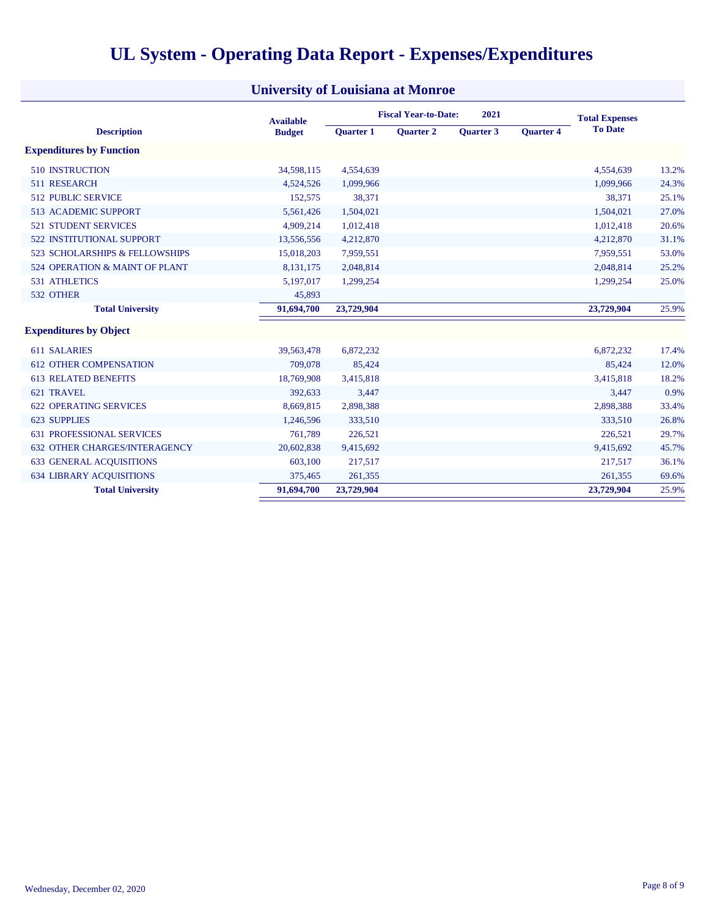|                                      | <b>Available</b> |                  | <b>Fiscal Year-to-Date:</b> |                  | <b>Total Expenses</b> |                |       |
|--------------------------------------|------------------|------------------|-----------------------------|------------------|-----------------------|----------------|-------|
| <b>Description</b>                   | <b>Budget</b>    | <b>Ouarter 1</b> | <b>Ouarter 2</b>            | <b>Ouarter 3</b> | <b>Ouarter 4</b>      | <b>To Date</b> |       |
| <b>Expenditures by Function</b>      |                  |                  |                             |                  |                       |                |       |
| <b>510 INSTRUCTION</b>               | 34,598,115       | 4,554,639        |                             |                  |                       | 4,554,639      | 13.2% |
| 511 RESEARCH                         | 4,524,526        | 1,099,966        |                             |                  |                       | 1,099,966      | 24.3% |
| <b>512 PUBLIC SERVICE</b>            | 152,575          | 38,371           |                             |                  |                       | 38,371         | 25.1% |
| 513 ACADEMIC SUPPORT                 | 5,561,426        | 1,504,021        |                             |                  |                       | 1,504,021      | 27.0% |
| <b>521 STUDENT SERVICES</b>          | 4,909,214        | 1,012,418        |                             |                  |                       | 1,012,418      | 20.6% |
| <b>522 INSTITUTIONAL SUPPORT</b>     | 13,556,556       | 4,212,870        |                             |                  |                       | 4,212,870      | 31.1% |
| 523 SCHOLARSHIPS & FELLOWSHIPS       | 15,018,203       | 7,959,551        |                             |                  |                       | 7,959,551      | 53.0% |
| 524 OPERATION & MAINT OF PLANT       | 8,131,175        | 2,048,814        |                             |                  |                       | 2,048,814      | 25.2% |
| <b>531 ATHLETICS</b>                 | 5,197,017        | 1,299,254        |                             |                  |                       | 1,299,254      | 25.0% |
| 532 OTHER                            | 45,893           |                  |                             |                  |                       |                |       |
| <b>Total University</b>              | 91,694,700       | 23,729,904       |                             |                  |                       | 23,729,904     | 25.9% |
| <b>Expenditures by Object</b>        |                  |                  |                             |                  |                       |                |       |
| 611 SALARIES                         | 39,563,478       | 6,872,232        |                             |                  |                       | 6,872,232      | 17.4% |
| <b>612 OTHER COMPENSATION</b>        | 709,078          | 85,424           |                             |                  |                       | 85,424         | 12.0% |
| <b>613 RELATED BENEFITS</b>          | 18,769,908       | 3,415,818        |                             |                  |                       | 3,415,818      | 18.2% |
| 621 TRAVEL                           | 392,633          | 3,447            |                             |                  |                       | 3,447          | 0.9%  |
| <b>622 OPERATING SERVICES</b>        | 8,669,815        | 2,898,388        |                             |                  |                       | 2,898,388      | 33.4% |
| <b>623 SUPPLIES</b>                  | 1,246,596        | 333,510          |                             |                  |                       | 333,510        | 26.8% |
| <b>631 PROFESSIONAL SERVICES</b>     | 761,789          | 226,521          |                             |                  |                       | 226,521        | 29.7% |
| <b>632 OTHER CHARGES/INTERAGENCY</b> | 20,602,838       | 9,415,692        |                             |                  |                       | 9,415,692      | 45.7% |
| <b>633 GENERAL ACQUISITIONS</b>      | 603,100          | 217,517          |                             |                  |                       | 217,517        | 36.1% |
| <b>634 LIBRARY ACQUISITIONS</b>      | 375,465          | 261,355          |                             |                  |                       | 261,355        | 69.6% |
| <b>Total University</b>              | 91,694,700       | 23,729,904       |                             |                  |                       | 23,729,904     | 25.9% |

### **University of Louisiana at Monroe**